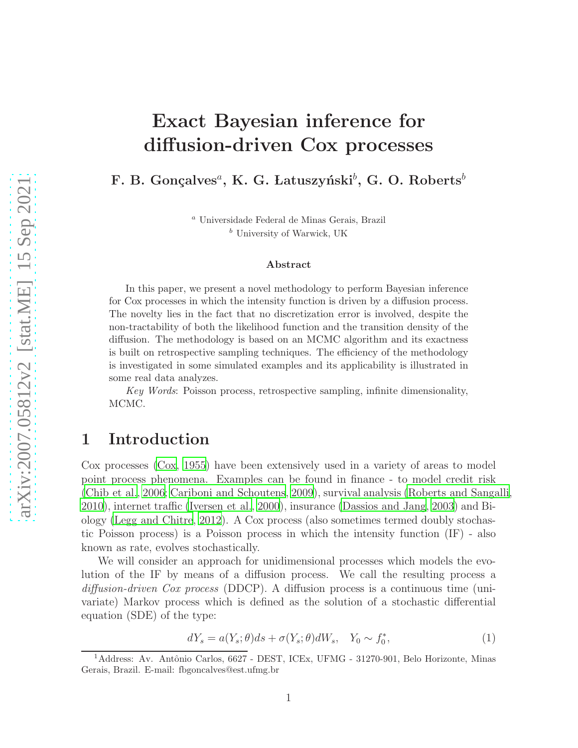# Exact Bayesian inference for diffusion-driven Cox processes

F. B. Gonçalves<sup>a</sup>, K. G. Latuszyński $^b$ , G. O. Roberts $^b$ 

<sup>a</sup> Universidade Federal de Minas Gerais, Brazil  $<sup>b</sup>$  University of Warwick, UK</sup>

#### Abstract

In this paper, we present a novel methodology to perform Bayesian inference for Cox processes in which the intensity function is driven by a diffusion process. The novelty lies in the fact that no discretization error is involved, despite the non-tractability of both the likelihood function and the transition density of the diffusion. The methodology is based on an MCMC algorithm and its exactness is built on retrospective sampling techniques. The efficiency of the methodology is investigated in some simulated examples and its applicability is illustrated in some real data analyzes.

Key Words: Poisson process, retrospective sampling, infinite dimensionality, MCMC.

## 1 Introduction

Cox processes [\(Cox, 1955](#page-18-0)) have been extensively used in a variety of areas to model point process phenomena. Examples can be found in finance - to model credit risk [\(Chib et al.](#page-18-1), [2006;](#page-18-1) [Cariboni and Schoutens, 2009](#page-18-2)), survival analysis [\(Roberts and Sangalli,](#page-19-0) [2010\)](#page-19-0), internet traffic [\(Iversen et al., 2000](#page-18-3)), insurance (Dassios [and Jang](#page-18-4), [2003\)](#page-18-4) and Biology [\(Legg and Chitre](#page-18-5), [2012\)](#page-18-5). A Cox process (also sometimes termed doubly stochastic Poisson process) is a Poisson process in which the intensity function (IF) - also known as rate, evolves stochastically.

We will consider an approach for unidimensional processes which models the evolution of the IF by means of a diffusion process. We call the resulting process a diffusion-driven Cox process (DDCP). A diffusion process is a continuous time (univariate) Markov process which is defined as the solution of a stochastic differential equation (SDE) of the type:

<span id="page-0-0"></span>
$$
dY_s = a(Y_s; \theta)ds + \sigma(Y_s; \theta)dW_s, \quad Y_0 \sim f_0^*,
$$
\n(1)

<sup>&</sup>lt;sup>1</sup>Address: Av. Antônio Carlos, 6627 - DEST, ICEx, UFMG - 31270-901, Belo Horizonte, Minas Gerais, Brazil. E-mail: fbgoncalves@est.ufmg.br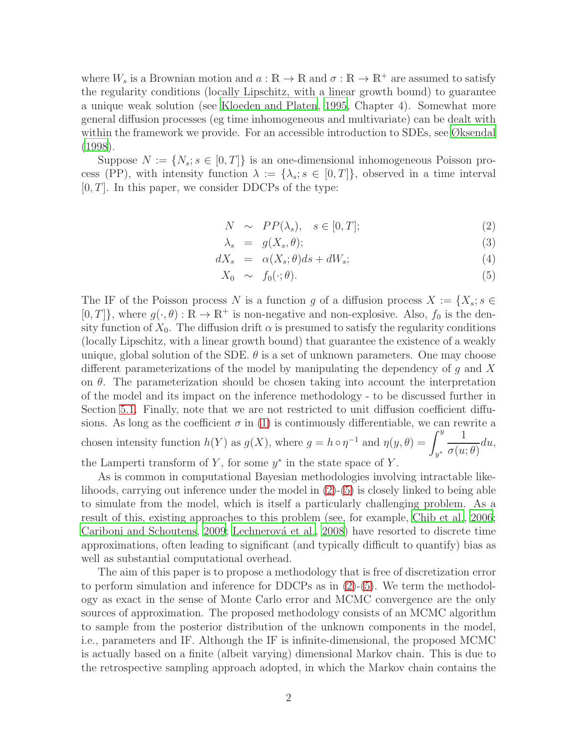where  $W_s$  is a Brownian motion and  $a : \mathbb{R} \to \mathbb{R}$  and  $\sigma : \mathbb{R} \to \mathbb{R}^+$  are assumed to satisfy the regularity conditions (locally Lipschitz, with a linear growth bound) to guarantee a unique weak solution (see [Kloeden and Platen](#page-18-6), [1995,](#page-18-6) Chapter 4). Somewhat more general diffusion processes (eg time inhomogeneous and multivariate) can be dealt with within the framework we provide. For an accessible introduction to SDEs, see [Øksendal](#page-19-1) [\(1998](#page-19-1)).

Suppose  $N := \{N_s : s \in [0, T]\}\$ is an one-dimensional inhomogeneous Poisson process (PP), with intensity function  $\lambda := {\lambda_s : s \in [0,T]}$ , observed in a time interval  $[0, T]$ . In this paper, we consider DDCPs of the type:

<span id="page-1-0"></span>
$$
N \sim PP(\lambda_s), \quad s \in [0, T]; \tag{2}
$$

$$
\lambda_s = g(X_s, \theta); \tag{3}
$$

$$
dX_s = \alpha(X_s; \theta)ds + dW_s; \tag{4}
$$

$$
X_0 \sim f_0(\cdot; \theta). \tag{5}
$$

The IF of the Poisson process N is a function g of a diffusion process  $X := \{X_s : s \in$  $[0, T]$ , where  $g(\cdot, \theta) : \mathbb{R} \to \mathbb{R}^+$  is non-negative and non-explosive. Also,  $f_0$  is the density function of  $X_0$ . The diffusion drift  $\alpha$  is presumed to satisfy the regularity conditions (locally Lipschitz, with a linear growth bound) that guarantee the existence of a weakly unique, global solution of the SDE.  $\theta$  is a set of unknown parameters. One may choose different parameterizations of the model by manipulating the dependency of  $q$  and  $X$ on  $\theta$ . The parameterization should be chosen taking into account the interpretation of the model and its impact on the inference methodology - to be discussed further in Section [5.1.](#page-11-0) Finally, note that we are not restricted to unit diffusion coefficient diffusions. As long as the coefficient  $\sigma$  in [\(1\)](#page-0-0) is continuously differentiable, we can rewrite a chosen intensity function  $h(Y)$  as  $g(X)$ , where  $g = h \circ \eta^{-1}$  and  $\eta(y, \theta) = \int_{0}^{y}$ y ∗ 1  $\sigma(u; \theta)$ du, the Lamperti transform of  $Y$ , for some  $y^*$  in the state space of  $Y$ .

As is common in computational Bayesian methodologies involving intractable likelihoods, carrying out inference under the model in  $(2)-(5)$  $(2)-(5)$  is closely linked to being able to simulate from the model, which is itself a particularly challenging problem. As a result of this, existing approaches to this problem (see, for example, [Chib et al., 2006](#page-18-1); [Cariboni and Schoutens](#page-18-2), [2009](#page-18-2); Lechnerová et al., [2008\)](#page-18-7) have resorted to discrete time approximations, often leading to significant (and typically difficult to quantify) bias as well as substantial computational overhead.

The aim of this paper is to propose a methodology that is free of discretization error to perform simulation and inference for DDCPs as in  $(2)-(5)$  $(2)-(5)$ . We term the methodology as exact in the sense of Monte Carlo error and MCMC convergence are the only sources of approximation. The proposed methodology consists of an MCMC algorithm to sample from the posterior distribution of the unknown components in the model, i.e., parameters and IF. Although the IF is infinite-dimensional, the proposed MCMC is actually based on a finite (albeit varying) dimensional Markov chain. This is due to the retrospective sampling approach adopted, in which the Markov chain contains the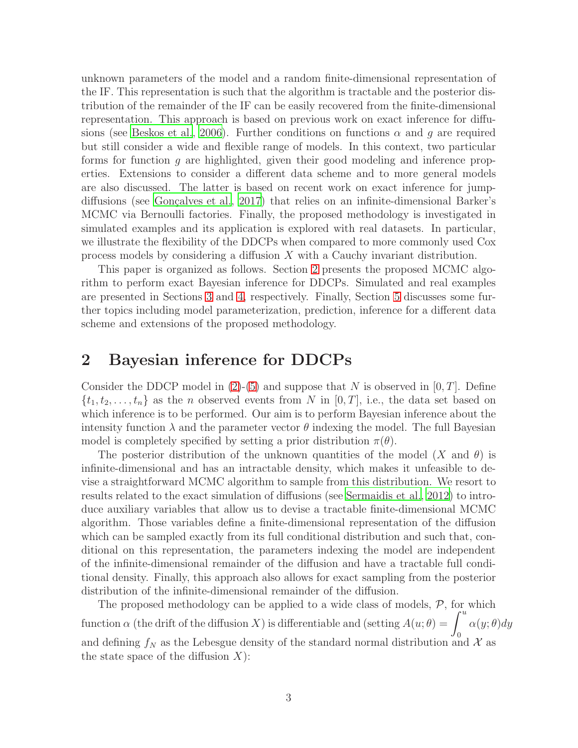unknown parameters of the model and a random finite-dimensional representation of the IF. This representation is such that the algorithm is tractable and the posterior distribution of the remainder of the IF can be easily recovered from the finite-dimensional representation. This approach is based on previous work on exact inference for diffu-sions (see [Beskos et al.](#page-17-0), [2006](#page-17-0)). Further conditions on functions  $\alpha$  and g are required but still consider a wide and flexible range of models. In this context, two particular forms for function g are highlighted, given their good modeling and inference properties. Extensions to consider a different data scheme and to more general models are also discussed. The latter is based on recent work on exact inference for jump-diffusions (see Gonçalves et al., [2017\)](#page-18-8) that relies on an infinite-dimensional Barker's MCMC via Bernoulli factories. Finally, the proposed methodology is investigated in simulated examples and its application is explored with real datasets. In particular, we illustrate the flexibility of the DDCPs when compared to more commonly used Cox process models by considering a diffusion X with a Cauchy invariant distribution.

This paper is organized as follows. Section [2](#page-2-0) presents the proposed MCMC algorithm to perform exact Bayesian inference for DDCPs. Simulated and real examples are presented in Sections [3](#page-6-0) and [4,](#page-10-0) respectively. Finally, Section [5](#page-11-1) discusses some further topics including model parameterization, prediction, inference for a different data scheme and extensions of the proposed methodology.

# <span id="page-2-0"></span>2 Bayesian inference for DDCPs

Consider the DDCP model in [\(2\)](#page-1-0)-[\(5\)](#page-1-0) and suppose that N is observed in  $[0, T]$ . Define  $\{t_1, t_2, \ldots, t_n\}$  as the *n* observed events from *N* in [0, *T*], i.e., the data set based on which inference is to be performed. Our aim is to perform Bayesian inference about the intensity function  $\lambda$  and the parameter vector  $\theta$  indexing the model. The full Bayesian model is completely specified by setting a prior distribution  $\pi(\theta)$ .

The posterior distribution of the unknown quantities of the model  $(X \text{ and } \theta)$  is infinite-dimensional and has an intractable density, which makes it unfeasible to devise a straightforward MCMC algorithm to sample from this distribution. We resort to results related to the exact simulation of diffusions (see [Sermaidis et](#page-19-2) al., [2012\)](#page-19-2) to introduce auxiliary variables that allow us to devise a tractable finite-dimensional MCMC algorithm. Those variables define a finite-dimensional representation of the diffusion which can be sampled exactly from its full conditional distribution and such that, conditional on this representation, the parameters indexing the model are independent of the infinite-dimensional remainder of the diffusion and have a tractable full conditional density. Finally, this approach also allows for exact sampling from the posterior distribution of the infinite-dimensional remainder of the diffusion.

The proposed methodology can be applied to a wide class of models,  $P$ , for which function  $\alpha$  (the drift of the diffusion X) is differentiable and (setting  $A(u; \theta) = \int^u$ 0  $\alpha(y;\theta)dy$ and defining  $f_N$  as the Lebesgue density of the standard normal distribution and X as the state space of the diffusion  $X$ :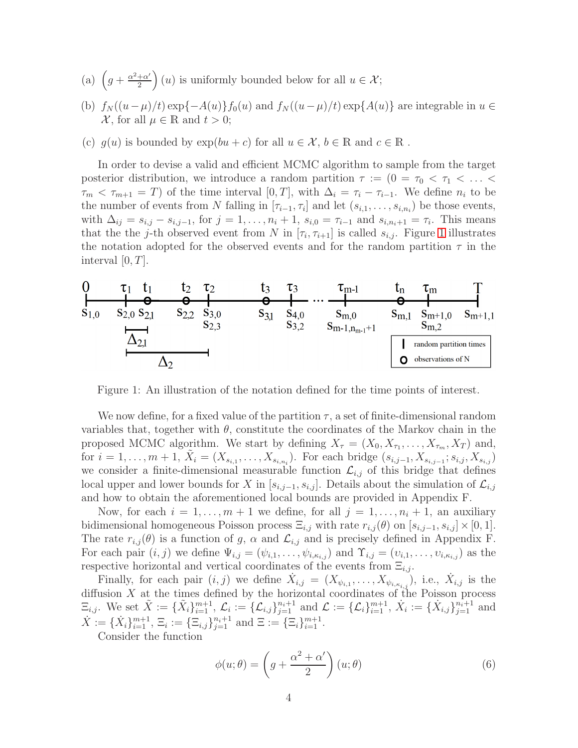- (a)  $\left(g + \frac{\alpha^2 + \alpha'}{2}\right)$  $\left(\frac{+\alpha'}{2}\right)(u)$  is uniformly bounded below for all  $u \in \mathcal{X}$ ;
- (b)  $f_N((u-\mu)/t) \exp\{-A(u)\} f_0(u)$  and  $f_N((u-\mu)/t) \exp\{A(u)\}$  are integrable in  $u \in$  $\mathcal{X}$ , for all  $\mu \in \mathbb{R}$  and  $t > 0$ ;
- (c)  $g(u)$  is bounded by  $\exp(bu+c)$  for all  $u \in \mathcal{X}, b \in \mathbb{R}$  and  $c \in \mathbb{R}$ .

In order to devise a valid and efficient MCMC algorithm to sample from the target posterior distribution, we introduce a random partition  $\tau := (0 = \tau_0 < \tau_1 < \ldots <$  $\tau_m < \tau_{m+1} = T$ ) of the time interval  $[0, T]$ , with  $\Delta_i = \tau_i - \tau_{i-1}$ . We define  $n_i$  to be the number of events from N falling in  $[\tau_{i-1}, \tau_i]$  and let  $(s_{i,1}, \ldots, s_{i,n_i})$  be those events, with  $\Delta_{ij} = s_{i,j} - s_{i,j-1}$ , for  $j = 1, ..., n_i + 1$ ,  $s_{i,0} = \tau_{i-1}$  and  $s_{i,n_i+1} = \tau_i$ . This means that the the j-th observed event from N in  $[\tau_i, \tau_{i+1}]$  is called  $s_{i,j}$ . Figure [1](#page-3-0) illustrates the notation adopted for the observed events and for the random partition  $\tau$  in the interval  $[0, T]$ .



<span id="page-3-0"></span>Figure 1: An illustration of the notation defined for the time points of interest.

We now define, for a fixed value of the partition  $\tau$ , a set of finite-dimensional random variables that, together with  $\theta$ , constitute the coordinates of the Markov chain in the proposed MCMC algorithm. We start by defining  $X_{\tau} = (X_0, X_{\tau_1}, \ldots, X_{\tau_m}, X_T)$  and, for  $i = 1, \ldots, m + 1$ ,  $\tilde{X}_i = (X_{s_{i,1}}, \ldots, X_{s_{i,n_i}})$ . For each bridge  $(s_{i,j-1}, X_{s_{i,j-1}}; s_{i,j}, X_{s_{i,j}})$ we consider a finite-dimensional measurable function  $\mathcal{L}_{i,j}$  of this bridge that defines local upper and lower bounds for X in  $[s_{i,j-1}, s_{i,j}]$ . Details about the simulation of  $\mathcal{L}_{i,j}$ and how to obtain the aforementioned local bounds are provided in Appendix F.

Now, for each  $i = 1, \ldots, m + 1$  we define, for all  $j = 1, \ldots, n_i + 1$ , an auxiliary bidimensional homogeneous Poisson process  $\Xi_{i,j}$  with rate  $r_{i,j}(\theta)$  on  $[s_{i,j-1}, s_{i,j}] \times [0, 1]$ . The rate  $r_{i,j}(\theta)$  is a function of g,  $\alpha$  and  $\mathcal{L}_{i,j}$  and is precisely defined in Appendix F. For each pair  $(i, j)$  we define  $\Psi_{i,j} = (\psi_{i,1}, \ldots, \psi_{i,\kappa_{i,j}})$  and  $\Upsilon_{i,j} = (\nu_{i,1}, \ldots, \nu_{i,\kappa_{i,j}})$  as the respective horizontal and vertical coordinates of the events from  $\Xi_{i,j}$ .

Finally, for each pair  $(i, j)$  we define  $\dot{X}_{i,j} = (X_{\psi_{i,1}}, \ldots, X_{\psi_{i,\kappa_{i,j}}})$ , i.e.,  $\dot{X}_{i,j}$  is the diffusion  $X$  at the times defined by the horizontal coordinates of the Poisson process  $\Xi_{i,j}$ . We set  $\tilde{X} := {\{\tilde{X}_i\}}_{i=1}^{m+1}, \mathcal{L}_i := {\{\mathcal{L}_{i,j}\}}_{j=1}^{n_i+1}$  and  $\mathcal{L} := {\{\mathcal{L}_i\}}_{i=1}^{m+1}, \dot{X}_i := {\{\dot{X}_{i,j}\}}_{j=1}^{n_i+1}$  and  $\dot{X} := \{ \dot{X}_i \}_{i=1}^{m+1}, \, \Xi_i := \{ \Xi_{i,j} \}_{j=1}^{n_i+1} \text{ and } \Xi := \{ \Xi_i \}_{i=1}^{m+1}.$ 

Consider the function

$$
\phi(u; \theta) = \left(g + \frac{\alpha^2 + \alpha'}{2}\right)(u; \theta) \tag{6}
$$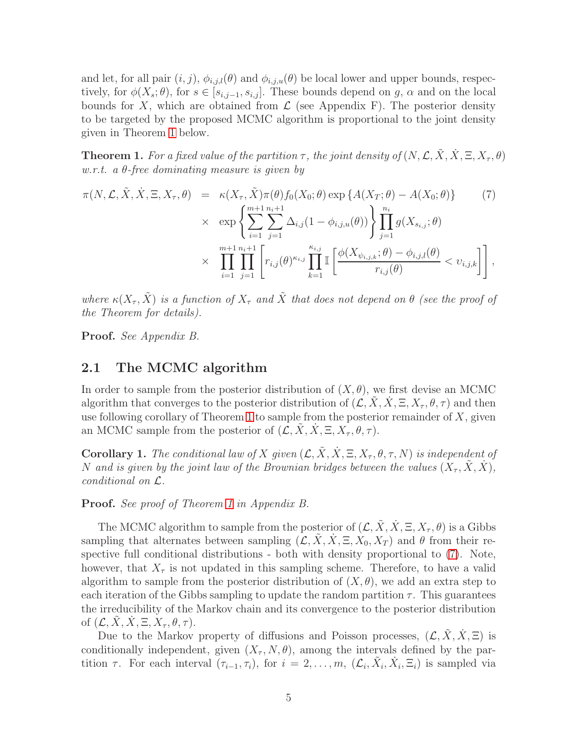and let, for all pair  $(i, j)$ ,  $\phi_{i,j,l}(\theta)$  and  $\phi_{i,j,u}(\theta)$  be local lower and upper bounds, respectively, for  $\phi(X_s; \theta)$ , for  $s \in [s_{i,j-1}, s_{i,j}]$ . These bounds depend on g,  $\alpha$  and on the local bounds for X, which are obtained from  $\mathcal L$  (see Appendix F). The posterior density to be targeted by the proposed MCMC algorithm is proportional to the joint density given in Theorem [1](#page-4-0) below.

<span id="page-4-0"></span>**Theorem 1.** For a fixed value of the partition  $\tau$ , the joint density of  $(N, \mathcal{L}, \tilde{X}, \tilde{X}, \Xi, X_\tau, \theta)$ w.r.t. a  $\theta$ -free dominating measure is given by

<span id="page-4-1"></span>
$$
\pi(N, \mathcal{L}, \tilde{X}, \dot{X}, \Xi, X_{\tau}, \theta) = \kappa(X_{\tau}, \tilde{X})\pi(\theta) f_0(X_0; \theta) \exp\{A(X_T; \theta) - A(X_0; \theta)\} \tag{7}
$$
\n
$$
\times \exp\left\{\sum_{i=1}^{m+1} \sum_{j=1}^{n_i+1} \Delta_{i,j} (1 - \phi_{i,j,u}(\theta))\right\} \prod_{j=1}^{n_i} g(X_{s_{i,j}}; \theta) \times \prod_{i=1}^{m+1} \prod_{j=1}^{n_i+1} \left[r_{i,j}(\theta)^{\kappa_{i,j}} \prod_{k=1}^{\kappa_{i,j}} \mathbb{I}\left[\frac{\phi(X_{\psi_{i,j,k}}; \theta) - \phi_{i,j,l}(\theta)}{r_{i,j}(\theta)} < v_{i,j,k}\right]\right],
$$

where  $\kappa(X_\tau, \tilde{X})$  is a function of  $X_\tau$  and  $\tilde{X}$  that does not depend on  $\theta$  (see the proof of the Theorem for details).

<span id="page-4-2"></span>Proof. See Appendix B.

#### 2.1 The MCMC algorithm

In order to sample from the posterior distribution of  $(X, \theta)$ , we first devise an MCMC algorithm that converges to the posterior distribution of  $(\mathcal{L}, \tilde{X}, \tilde{X}, \Xi, X_{\tau}, \theta, \tau)$  and then use following corollary of Theorem [1](#page-4-0) to sample from the posterior remainder of  $X$ , given an MCMC sample from the posterior of  $(\mathcal{L}, X, X, \Xi, X_{\tau}, \theta, \tau)$ .

**Corollary 1.** The conditional law of X given  $(\mathcal{L}, \tilde{X}, \dot{X}, \Xi, X_\tau, \theta, \tau, N)$  is independent of N and is given by the joint law of the Brownian bridges between the values  $(X_\tau, X, X)$ , conditional on L.

Proof. See proof of Theorem [1](#page-4-0) in Appendix B.

The MCMC algorithm to sample from the posterior of  $(\mathcal{L}, \tilde{X}, \dot{X}, \Xi, X_{\tau}, \theta)$  is a Gibbs sampling that alternates between sampling  $(\mathcal{L}, \hat{X}, \hat{X}, \Xi, X_0, X_T)$  and  $\theta$  from their respective full conditional distributions - both with density proportional to [\(7\)](#page-4-1). Note, however, that  $X_{\tau}$  is not updated in this sampling scheme. Therefore, to have a valid algorithm to sample from the posterior distribution of  $(X, \theta)$ , we add an extra step to each iteration of the Gibbs sampling to update the random partition  $\tau$ . This guarantees the irreducibility of the Markov chain and its convergence to the posterior distribution of  $(\mathcal{L}, X, X, \Xi, X_\tau, \theta, \tau)$ .

Due to the Markov property of diffusions and Poisson processes,  $(\mathcal{L}, X, X, \Xi)$  is conditionally independent, given  $(X_\tau, N, \theta)$ , among the intervals defined by the partition  $\tau$ . For each interval  $(\tau_{i-1}, \tau_i)$ , for  $i = 2, \ldots, m$ ,  $(\mathcal{L}_i, \tilde{X}_i, \dot{X}_i, \Xi_i)$  is sampled via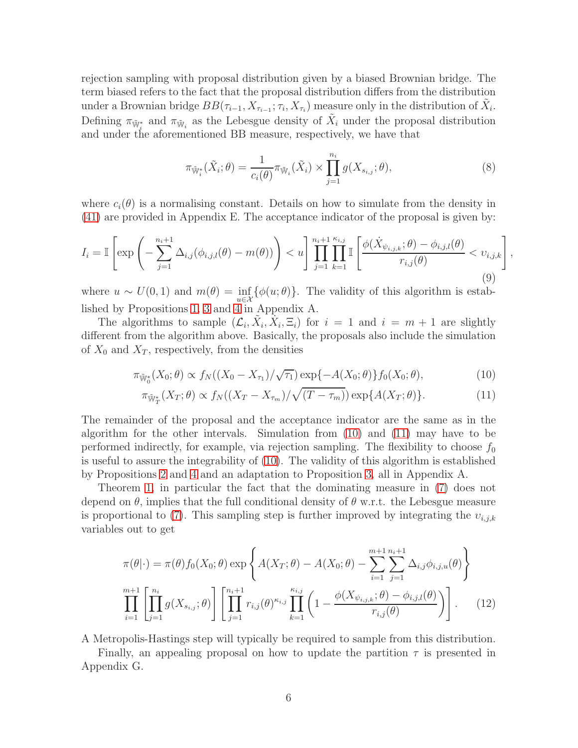rejection sampling with proposal distribution given by a biased Brownian bridge. The term biased refers to the fact that the proposal distribution differs from the distribution under a Brownian bridge  $BB(\tau_{i-1}, X_{\tau_{i-1}}; \tau_i, X_{\tau_i})$  measure only in the distribution of  $\tilde{X}_i$ . Defining  $\pi_{\tilde{\mathbb{W}}^*_i}$  and  $\pi_{\tilde{\mathbb{W}}_i}$  as the Lebesgue density of  $\tilde{X}_i$  under the proposal distribution and under the aforementioned BB measure, respectively, we have that

$$
\pi_{\tilde{\mathbb{W}}_i^*}(\tilde{X}_i; \theta) = \frac{1}{c_i(\theta)} \pi_{\tilde{\mathbb{W}}_i}(\tilde{X}_i) \times \prod_{j=1}^{n_i} g(X_{s_{i,j}}; \theta), \tag{8}
$$

where  $c_i(\theta)$  is a normalising constant. Details on how to simulate from the density in [\(41\)](#page-27-0) are provided in Appendix E. The acceptance indicator of the proposal is given by:

$$
I_{i} = \mathbb{I}\left[\exp\left(-\sum_{j=1}^{n_{i}+1} \Delta_{i,j}(\phi_{i,j,l}(\theta) - m(\theta))\right) < u\right] \prod_{j=1}^{n_{i}+1} \prod_{k=1}^{\kappa_{i,j}} \mathbb{I}\left[\frac{\phi(\dot{X}_{\psi_{i,j,k}};\theta) - \phi_{i,j,l}(\theta)}{r_{i,j}(\theta)} < v_{i,j,k}\right],\tag{9}
$$

where  $u \sim U(0,1)$  and  $m(\theta) = \inf_{u \in \mathcal{X}} {\{\phi(u;\theta)\}}$ . The validity of this algorithm is established by Propositions [1,](#page-20-0) [3](#page-21-0) and [4](#page-21-1) in Appendix A.

The algorithms to sample  $(\mathcal{L}_i, \tilde{X}_i, \tilde{X}_i, \Xi_i)$  for  $i = 1$  and  $i = m + 1$  are slightly different from the algorithm above. Basically, the proposals also include the simulation of  $X_0$  and  $X_T$ , respectively, from the densities

<span id="page-5-0"></span>
$$
\pi_{\tilde{W}_0^*}(X_0; \theta) \propto f_N((X_0 - X_{\tau_1})/\sqrt{\tau_1}) \exp\{-A(X_0; \theta)\} f_0(X_0; \theta), \tag{10}
$$

$$
\pi_{\tilde{\mathbb{W}}_T^*}(X_T;\theta) \propto f_N((X_T - X_{\tau_m})/\sqrt{(T - \tau_m)}) \exp\{A(X_T;\theta)\}.
$$
\n(11)

The remainder of the proposal and the acceptance indicator are the same as in the algorithm for the other intervals. Simulation from [\(10\)](#page-5-0) and [\(11\)](#page-5-0) may have to be performed indirectly, for example, via rejection sampling. The flexibility to choose  $f_0$ is useful to assure the integrability of [\(10\)](#page-5-0). The validity of this algorithm is established by Propositions [2](#page-20-1) and [4](#page-21-1) and an adaptation to Proposition [3,](#page-21-0) all in Appendix A.

Theorem [1,](#page-4-0) in particular the fact that the dominating measure in [\(7\)](#page-4-1) does not depend on  $\theta$ , implies that the full conditional density of  $\theta$  w.r.t. the Lebesgue measure is proportional to [\(7\)](#page-4-1). This sampling step is further improved by integrating the  $v_{i,j,k}$ variables out to get

$$
\pi(\theta|\cdot) = \pi(\theta)f_0(X_0;\theta) \exp\left\{A(X_T;\theta) - A(X_0;\theta) - \sum_{i=1}^{m+1} \sum_{j=1}^{n_i+1} \Delta_{i,j} \phi_{i,j,u}(\theta)\right\}
$$

$$
\prod_{i=1}^{m+1} \left[\prod_{j=1}^{n_i} g(X_{s_{i,j}};\theta)\right] \left[\prod_{j=1}^{n_i+1} r_{i,j}(\theta)^{\kappa_{i,j}} \prod_{k=1}^{\kappa_{i,j}} \left(1 - \frac{\phi(X_{\psi_{i,j,k}};\theta) - \phi_{i,j,l}(\theta)}{r_{i,j}(\theta)}\right)\right].
$$
 (12)

A Metropolis-Hastings step will typically be required to sample from this distribution.

Finally, an appealing proposal on how to update the partition  $\tau$  is presented in Appendix G.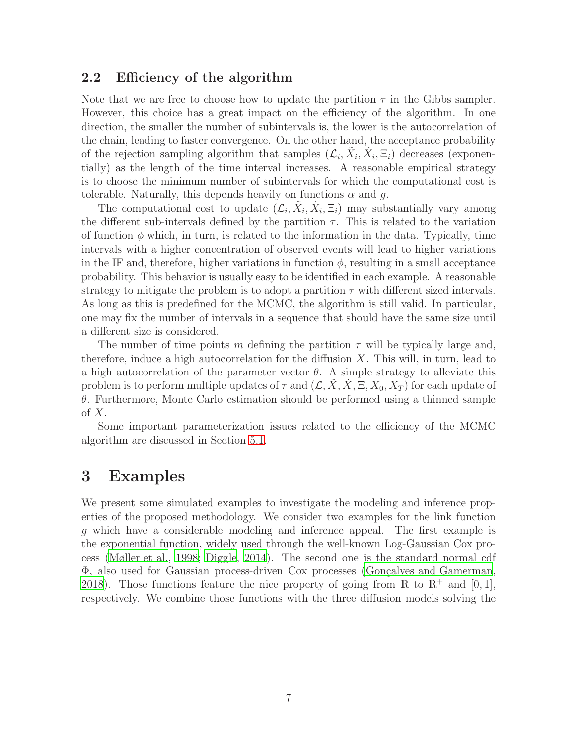#### 2.2 Efficiency of the algorithm

Note that we are free to choose how to update the partition  $\tau$  in the Gibbs sampler. However, this choice has a great impact on the efficiency of the algorithm. In one direction, the smaller the number of subintervals is, the lower is the autocorrelation of the chain, leading to faster convergence. On the other hand, the acceptance probability of the rejection sampling algorithm that samples  $(\mathcal{L}_i, \tilde{X}_i, \dot{X}_i, \Xi_i)$  decreases (exponentially) as the length of the time interval increases. A reasonable empirical strategy is to choose the minimum number of subintervals for which the computational cost is tolerable. Naturally, this depends heavily on functions  $\alpha$  and  $q$ .

The computational cost to update  $(\mathcal{L}_i, \tilde{X}_i, \dot{X}_i, \Xi_i)$  may substantially vary among the different sub-intervals defined by the partition  $\tau$ . This is related to the variation of function  $\phi$  which, in turn, is related to the information in the data. Typically, time intervals with a higher concentration of observed events will lead to higher variations in the IF and, therefore, higher variations in function  $\phi$ , resulting in a small acceptance probability. This behavior is usually easy to be identified in each example. A reasonable strategy to mitigate the problem is to adopt a partition  $\tau$  with different sized intervals. As long as this is predefined for the MCMC, the algorithm is still valid. In particular, one may fix the number of intervals in a sequence that should have the same size until a different size is considered.

The number of time points m defining the partition  $\tau$  will be typically large and, therefore, induce a high autocorrelation for the diffusion  $X$ . This will, in turn, lead to a high autocorrelation of the parameter vector  $\theta$ . A simple strategy to alleviate this problem is to perform multiple updates of  $\tau$  and  $(\mathcal{L}, X, X, \Xi, X_0, X_T)$  for each update of  $\theta$ . Furthermore, Monte Carlo estimation should be performed using a thinned sample of  $X$ .

Some important parameterization issues related to the efficiency of the MCMC algorithm are discussed in Section [5.1.](#page-11-0)

### <span id="page-6-0"></span>3 Examples

We present some simulated examples to investigate the modeling and inference properties of the proposed methodology. We consider two examples for the link function g which have a considerable modeling and inference appeal. The first example is the exponential function, widely used through the well-known Log-Gaussian Cox process [\(Møller et al.](#page-19-3), [1998;](#page-19-3) [Diggle, 2014](#page-18-9)). The second one is the standard normal cdf  $Φ$ , also used for Gaussian process-driven Cox processes (Gonçalves and Gamerman, [2018\)](#page-18-10). Those functions feature the nice property of going from  $\mathbb R$  to  $\mathbb R^+$  and  $[0,1]$ , respectively. We combine those functions with the three diffusion models solving the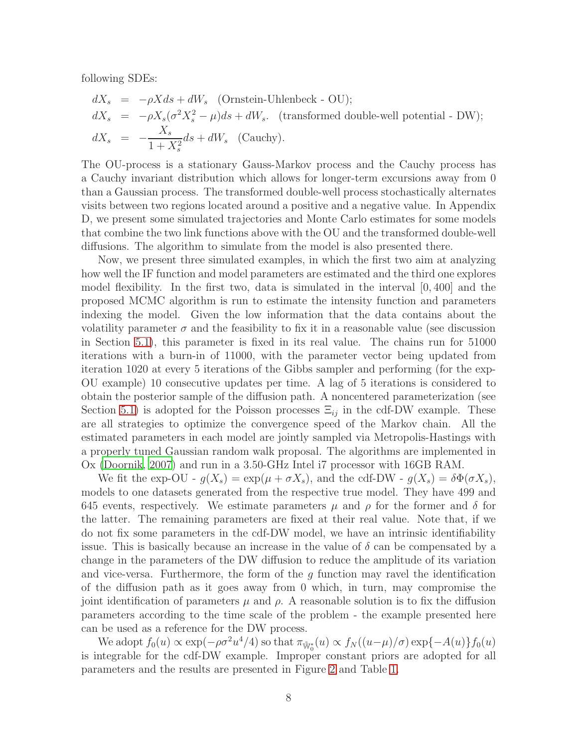following SDEs:

$$
dX_s = -\rho X ds + dW_s
$$
 (Ornstein-Uhlenbeck - OU);  
\n
$$
dX_s = -\rho X_s (\sigma^2 X_s^2 - \mu) ds + dW_s.
$$
 (transformed double-well potential - DW);  
\n
$$
dX_s = -\frac{X_s}{1 + X_s^2} ds + dW_s
$$
 (Cauchy).

The OU-process is a stationary Gauss-Markov process and the Cauchy process has a Cauchy invariant distribution which allows for longer-term excursions away from 0 than a Gaussian process. The transformed double-well process stochastically alternates visits between two regions located around a positive and a negative value. In Appendix D, we present some simulated trajectories and Monte Carlo estimates for some models that combine the two link functions above with the OU and the transformed double-well diffusions. The algorithm to simulate from the model is also presented there.

Now, we present three simulated examples, in which the first two aim at analyzing how well the IF function and model parameters are estimated and the third one explores model flexibility. In the first two, data is simulated in the interval  $[0, 400]$  and the proposed MCMC algorithm is run to estimate the intensity function and parameters indexing the model. Given the low information that the data contains about the volatility parameter  $\sigma$  and the feasibility to fix it in a reasonable value (see discussion in Section [5.1\)](#page-11-0), this parameter is fixed in its real value. The chains run for 51000 iterations with a burn-in of 11000, with the parameter vector being updated from iteration 1020 at every 5 iterations of the Gibbs sampler and performing (for the exp-OU example) 10 consecutive updates per time. A lag of 5 iterations is considered to obtain the posterior sample of the diffusion path. A noncentered parameterization (see Section [5.1\)](#page-11-0) is adopted for the Poisson processes  $\Xi_{ij}$  in the cdf-DW example. These are all strategies to optimize the convergence speed of the Markov chain. All the estimated parameters in each model are jointly sampled via Metropolis-Hastings with a properly tuned Gaussian random walk proposal. The algorithms are implemented in Ox [\(Doornik](#page-18-11), [2007\)](#page-18-11) and run in a 3.50-GHz Intel i7 processor with 16GB RAM.

We fit the exp-OU -  $q(X_s) = \exp(\mu + \sigma X_s)$ , and the cdf-DW -  $q(X_s) = \delta \Phi(\sigma X_s)$ , models to one datasets generated from the respective true model. They have 499 and 645 events, respectively. We estimate parameters  $\mu$  and  $\rho$  for the former and  $\delta$  for the latter. The remaining parameters are fixed at their real value. Note that, if we do not fix some parameters in the cdf-DW model, we have an intrinsic identifiability issue. This is basically because an increase in the value of  $\delta$  can be compensated by a change in the parameters of the DW diffusion to reduce the amplitude of its variation and vice-versa. Furthermore, the form of the  $q$  function may ravel the identification of the diffusion path as it goes away from 0 which, in turn, may compromise the joint identification of parameters  $\mu$  and  $\rho$ . A reasonable solution is to fix the diffusion parameters according to the time scale of the problem - the example presented here can be used as a reference for the DW process.

We adopt  $f_0(u) \propto \exp(-\rho \sigma^2 u^4/4)$  so that  $\pi_{\tilde{W}_0^*}(u) \propto f_N((u-\mu)/\sigma) \exp(-A(u)) f_0(u)$ is integrable for the cdf-DW example. Improper constant priors are adopted for all parameters and the results are presented in Figure [2](#page-8-0) and Table [1.](#page-8-1)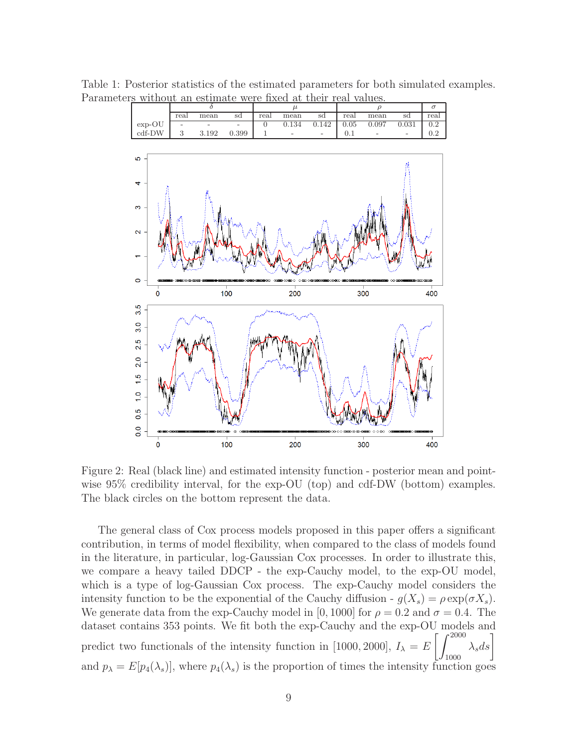<span id="page-8-1"></span>

Table 1: Posterior statistics of the estimated parameters for both simulated examples. Parameters without an estimate were fixed at their real values.

<span id="page-8-0"></span>Figure 2: Real (black line) and estimated intensity function - posterior mean and pointwise 95% credibility interval, for the exp-OU (top) and cdf-DW (bottom) examples. The black circles on the bottom represent the data.

The general class of Cox process models proposed in this paper offers a significant contribution, in terms of model flexibility, when compared to the class of models found in the literature, in particular, log-Gaussian Cox processes. In order to illustrate this, we compare a heavy tailed DDCP - the exp-Cauchy model, to the exp-OU model, which is a type of log-Gaussian Cox process. The exp-Cauchy model considers the intensity function to be the exponential of the Cauchy diffusion -  $q(X_s) = \rho \exp(\sigma X_s)$ . We generate data from the exp-Cauchy model in [0, 1000] for  $\rho = 0.2$  and  $\sigma = 0.4$ . The dataset contains 353 points. We fit both the exp-Cauchy and the exp-OU models and predict two functionals of the intensity function in [1000, 2000],  $I_{\lambda} = E$  $\left[\int^{2000} \lambda_s ds\right]$ and  $p_{\lambda} = E[p_4(\lambda_s)]$ , where  $p_4(\lambda_s)$  is the proportion of times the intensity function goes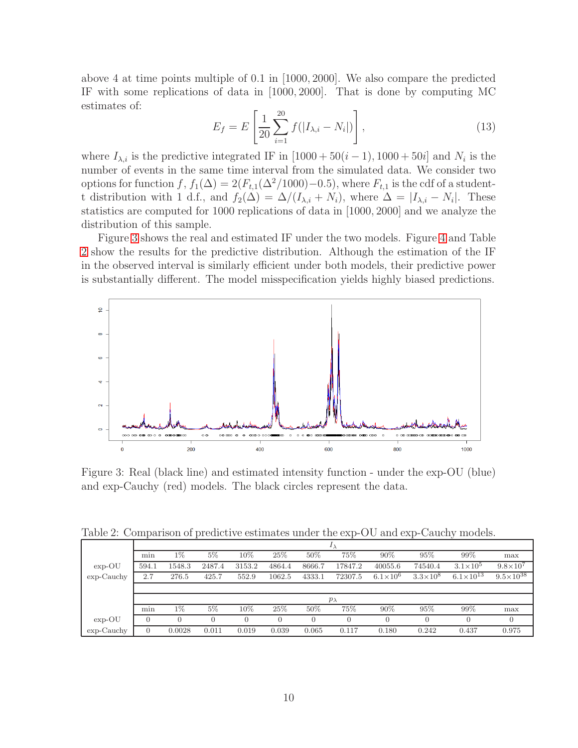above 4 at time points multiple of 0.1 in [1000, 2000]. We also compare the predicted IF with some replications of data in [1000, 2000]. That is done by computing MC estimates of:

$$
E_f = E\left[\frac{1}{20}\sum_{i=1}^{20}f(|I_{\lambda,i} - N_i|)\right],\tag{13}
$$

where  $I_{\lambda,i}$  is the predictive integrated IF in [1000 + 50(i – 1), 1000 + 50i] and  $N_i$  is the number of events in the same time interval from the simulated data. We consider two options for function f,  $f_1(\Delta) = 2(F_{t,1}(\Delta^2/1000)-0.5)$ , where  $F_{t,1}$  is the cdf of a studentt distribution with 1 d.f., and  $f_2(\Delta) = \Delta/(I_{\lambda,i} + N_i)$ , where  $\Delta = |I_{\lambda,i} - N_i|$ . These statistics are computed for 1000 replications of data in [1000, 2000] and we analyze the distribution of this sample.

Figure [3](#page-9-0) shows the real and estimated IF under the two models. Figure [4](#page-10-1) and Table [2](#page-9-1) show the results for the predictive distribution. Although the estimation of the IF in the observed interval is similarly efficient under both models, their predictive power is substantially different. The model misspecification yields highly biased predictions.



<span id="page-9-0"></span>Figure 3: Real (black line) and estimated intensity function - under the exp-OU (blue) and exp-Cauchy (red) models. The black circles represent the data.

Table 2: Comparison of predictive estimates under the exp-OU and exp-Cauchy models.

<span id="page-9-1"></span>

|              | $\overline{1}$ |        |        |        |          |                |         |                     |                 |                      |                      |
|--------------|----------------|--------|--------|--------|----------|----------------|---------|---------------------|-----------------|----------------------|----------------------|
|              | min            | 1%     | $5\%$  | $10\%$ | 25%      | 50%            | 75%     | 90%                 | 95%             | 99%                  | max                  |
| $exp-OU$     | 594.1          | 1548.3 | 2487.4 | 3153.2 | 4864.4   | 8666.7         | 17847.2 | 40055.6             | 74540.4         | $3.1\times10^{5}$    | $9.8 \times 10^{7}$  |
| $exp-Cauchy$ | 2.7            | 276.5  | 425.7  | 552.9  | 1062.5   | 4333.1         | 72307.5 | $6.1 \times 10^{6}$ | $3.3\times10^8$ | $6.1 \times 10^{13}$ | $9.5 \times 10^{38}$ |
|              |                |        |        |        |          |                |         |                     |                 |                      |                      |
|              | $p_{\lambda}$  |        |        |        |          |                |         |                     |                 |                      |                      |
|              | min            | $1\%$  | $5\%$  | $10\%$ | 25%      | 50%            | 75%     | 90%                 | 95%             | 99%                  | max                  |
| $exp-OU$     | $\overline{0}$ |        |        |        | $\Omega$ | $\overline{0}$ |         |                     |                 | $\theta$             |                      |
| $exp-Cauchy$ | 0              | 0.0028 | 0.011  | 0.019  | 0.039    | 0.065          | 0.117   | 0.180               | 0.242           | 0.437                | 0.975                |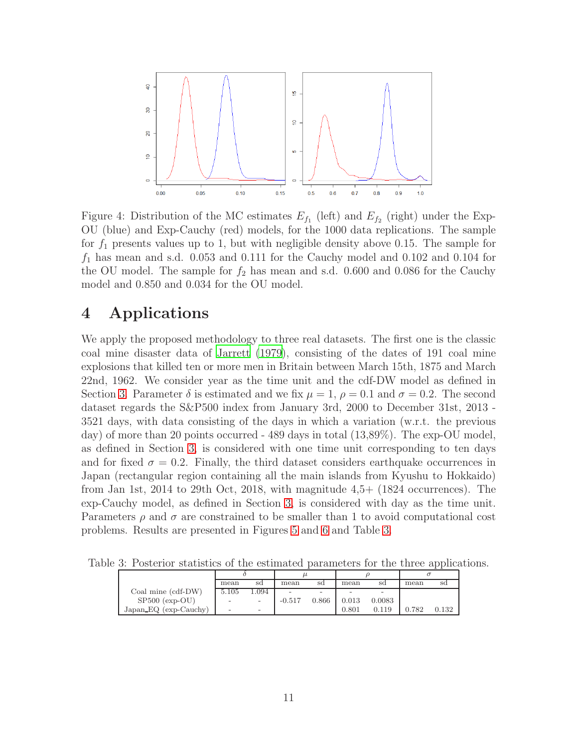

<span id="page-10-1"></span>Figure 4: Distribution of the MC estimates  $E_{f_1}$  (left) and  $E_{f_2}$  (right) under the Exp-OU (blue) and Exp-Cauchy (red) models, for the 1000 data replications. The sample for  $f_1$  presents values up to 1, but with negligible density above 0.15. The sample for  $f_1$  has mean and s.d. 0.053 and 0.111 for the Cauchy model and 0.102 and 0.104 for the OU model. The sample for  $f_2$  has mean and s.d. 0.600 and 0.086 for the Cauchy model and 0.850 and 0.034 for the OU model.

# <span id="page-10-0"></span>4 Applications

We apply the proposed methodology to three real datasets. The first one is the classic coal mine disaster data of [Jarrett \(1979\)](#page-18-12), consisting of the dates of 191 coal mine explosions that killed ten or more men in Britain between March 15th, 1875 and March 22nd, 1962. We consider year as the time unit and the cdf-DW model as defined in Section [3.](#page-6-0) Parameter  $\delta$  is estimated and we fix  $\mu = 1$ ,  $\rho = 0.1$  and  $\sigma = 0.2$ . The second dataset regards the S&P500 index from January 3rd, 2000 to December 31st, 2013 - 3521 days, with data consisting of the days in which a variation (w.r.t. the previous day) of more than 20 points occurred - 489 days in total (13,89%). The exp-OU model, as defined in Section [3,](#page-6-0) is considered with one time unit corresponding to ten days and for fixed  $\sigma = 0.2$ . Finally, the third dataset considers earthquake occurrences in Japan (rectangular region containing all the main islands from Kyushu to Hokkaido) from Jan 1st, 2014 to 29th Oct, 2018, with magnitude 4,5+ (1824 occurrences). The exp-Cauchy model, as defined in Section [3,](#page-6-0) is considered with day as the time unit. Parameters  $\rho$  and  $\sigma$  are constrained to be smaller than 1 to avoid computational cost problems. Results are presented in Figures [5](#page-11-2) and [6](#page-12-0) and Table [3.](#page-10-2)

Table 3: Posterior statistics of the estimated parameters for the three applications.

<span id="page-10-2"></span>

|                       | mean                     | sd                       | mean     | sd                       | mean  | sd     | mean  | sd    |
|-----------------------|--------------------------|--------------------------|----------|--------------------------|-------|--------|-------|-------|
| Coal mine (cdf-DW)    | 5.105                    | .094                     |          | $\overline{\phantom{0}}$ |       |        |       |       |
| $SP500$ (exp-OU)      |                          |                          | $-0.517$ | 0.866                    | 0.013 | 0.0083 |       |       |
| Japan_EQ (exp-Cauchy) | $\overline{\phantom{a}}$ | $\overline{\phantom{0}}$ |          |                          | 0.801 | 0.119  | 0.782 | 0.132 |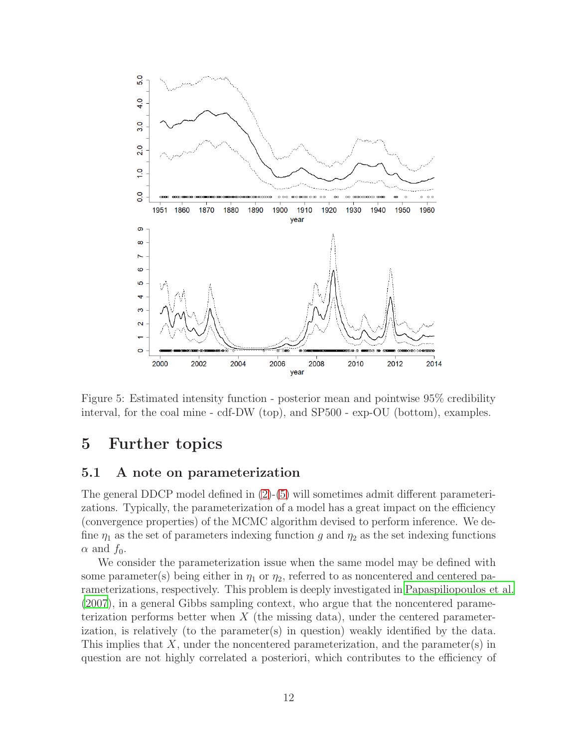

<span id="page-11-2"></span>Figure 5: Estimated intensity function - posterior mean and pointwise 95% credibility interval, for the coal mine - cdf-DW (top), and SP500 - exp-OU (bottom), examples.

# <span id="page-11-1"></span>5 Further topics

#### <span id="page-11-0"></span>5.1 A note on parameterization

The general DDCP model defined in [\(2\)](#page-1-0)-[\(5\)](#page-1-0) will sometimes admit different parameterizations. Typically, the parameterization of a model has a great impact on the efficiency (convergence properties) of the MCMC algorithm devised to perform inference. We define  $\eta_1$  as the set of parameters indexing function g and  $\eta_2$  as the set indexing functions  $\alpha$  and  $f_0$ .

We consider the parameterization issue when the same model may be defined with some parameter(s) being either in  $\eta_1$  or  $\eta_2$ , referred to as noncentered and centered parameterizations, respectively. This problem is deeply investigated in [Papaspiliopoulos et al.](#page-19-4) [\(2007](#page-19-4)), in a general Gibbs sampling context, who argue that the noncentered parameterization performs better when  $X$  (the missing data), under the centered parameterization, is relatively (to the parameter(s) in question) weakly identified by the data. This implies that  $X$ , under the noncentered parameterization, and the parameter(s) in question are not highly correlated a posteriori, which contributes to the efficiency of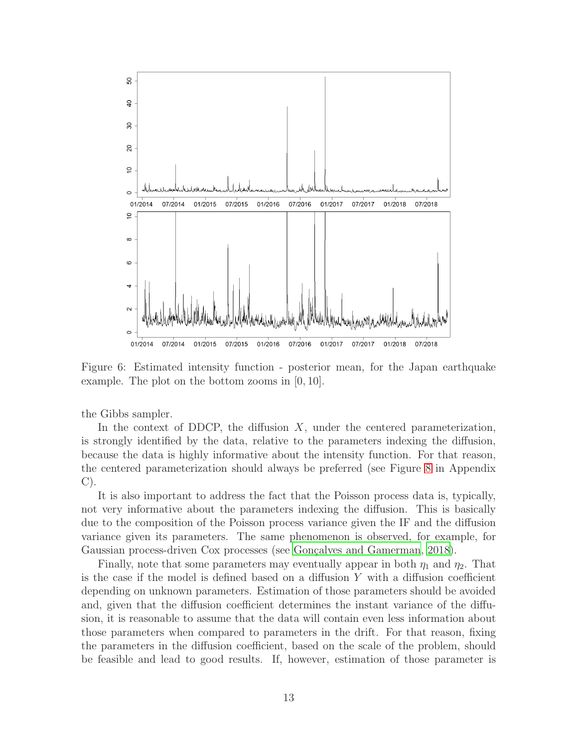

<span id="page-12-0"></span>Figure 6: Estimated intensity function - posterior mean, for the Japan earthquake example. The plot on the bottom zooms in [0, 10].

the Gibbs sampler.

In the context of DDCP, the diffusion X, under the centered parameterization, is strongly identified by the data, relative to the parameters indexing the diffusion, because the data is highly informative about the intensity function. For that reason, the centered parameterization should always be preferred (see Figure [8](#page-25-0) in Appendix C).

It is also important to address the fact that the Poisson process data is, typically, not very informative about the parameters indexing the diffusion. This is basically due to the composition of the Poisson process variance given the IF and the diffusion variance given its parameters. The same phenomenon is observed, for example, for Gaussian process-driven Cox processes (see Gonçalves and Gamerman, [2018\)](#page-18-10).

Finally, note that some parameters may eventually appear in both  $\eta_1$  and  $\eta_2$ . That is the case if the model is defined based on a diffusion Y with a diffusion coefficient depending on unknown parameters. Estimation of those parameters should be avoided and, given that the diffusion coefficient determines the instant variance of the diffusion, it is reasonable to assume that the data will contain even less information about those parameters when compared to parameters in the drift. For that reason, fixing the parameters in the diffusion coefficient, based on the scale of the problem, should be feasible and lead to good results. If, however, estimation of those parameter is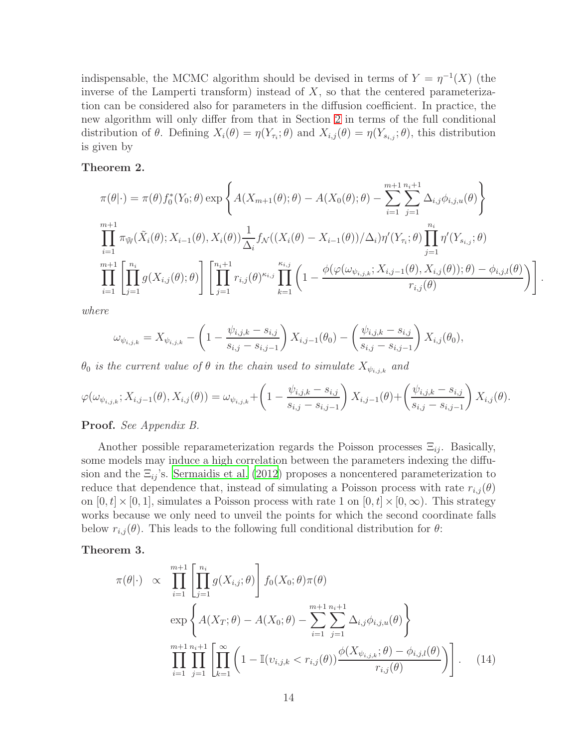indispensable, the MCMC algorithm should be devised in terms of  $Y = \eta^{-1}(X)$  (the inverse of the Lamperti transform) instead of  $X$ , so that the centered parameterization can be considered also for parameters in the diffusion coefficient. In practice, the new algorithm will only differ from that in Section [2](#page-2-0) in terms of the full conditional distribution of  $\theta$ . Defining  $X_i(\theta) = \eta(Y_{\tau_i}; \theta)$  and  $X_{i,j}(\theta) = \eta(Y_{s_{i,j}}; \theta)$ , this distribution is given by

#### <span id="page-13-0"></span>Theorem 2.

$$
\pi(\theta|\cdot) = \pi(\theta) f_0^*(Y_0; \theta) \exp \left\{ A(X_{m+1}(\theta); \theta) - A(X_0(\theta); \theta) - \sum_{i=1}^{m+1} \sum_{j=1}^{n_i+1} \Delta_{i,j} \phi_{i,j,u}(\theta) \right\}
$$
  
\n
$$
\prod_{i=1}^{m+1} \pi_{\tilde{W}}(\tilde{X}_i(\theta); X_{i-1}(\theta), X_i(\theta)) \frac{1}{\Delta_i} f_{\mathcal{N}}((X_i(\theta) - X_{i-1}(\theta))/\Delta_i) \eta'(Y_{\tau_i}; \theta) \prod_{j=1}^{n_i} \eta'(Y_{s_{i,j}}; \theta)
$$
  
\n
$$
\prod_{i=1}^{m+1} \left[ \prod_{j=1}^{n_i} g(X_{i,j}(\theta); \theta) \right] \left[ \prod_{j=1}^{n_i+1} r_{i,j}(\theta)^{\kappa_{i,j}} \prod_{k=1}^{\kappa_{i,j}} \left( 1 - \frac{\phi(\varphi(\omega_{\psi_{i,j,k}}; X_{i,j-1}(\theta), X_{i,j}(\theta)); \theta) - \phi_{i,j,l}(\theta)}{r_{i,j}(\theta)} \right) \right]
$$

.

where

$$
\omega_{\psi_{i,j,k}} = X_{\psi_{i,j,k}} - \left(1 - \frac{\psi_{i,j,k} - s_{i,j}}{s_{i,j} - s_{i,j-1}}\right)X_{i,j-1}(\theta_0) - \left(\frac{\psi_{i,j,k} - s_{i,j}}{s_{i,j} - s_{i,j-1}}\right)X_{i,j}(\theta_0),
$$

 $\theta_0$  is the current value of  $\theta$  in the chain used to simulate  $X_{\psi_{i,j,k}}$  and

$$
\varphi(\omega_{\psi_{i,j,k}}; X_{i,j-1}(\theta), X_{i,j}(\theta)) = \omega_{\psi_{i,j,k}} + \left(1 - \frac{\psi_{i,j,k} - s_{i,j}}{s_{i,j} - s_{i,j-1}}\right) X_{i,j-1}(\theta) + \left(\frac{\psi_{i,j,k} - s_{i,j}}{s_{i,j} - s_{i,j-1}}\right) X_{i,j}(\theta).
$$

#### Proof. See Appendix B.

Another possible reparameterization regards the Poisson processes  $\Xi_{ij}$ . Basically, some models may induce a high correlation between the parameters indexing the diffusion and the  $\Xi_{ij}$ 's. [Sermaidis et al. \(2012\)](#page-19-2) proposes a noncentered parameterization to reduce that dependence that, instead of simulating a Poisson process with rate  $r_{i,j}(\theta)$ on  $[0, t] \times [0, 1]$ , simulates a Poisson process with rate 1 on  $[0, t] \times [0, \infty)$ . This strategy works because we only need to unveil the points for which the second coordinate falls below  $r_{i,j}(\theta)$ . This leads to the following full conditional distribution for  $\theta$ :

#### Theorem 3.

$$
\pi(\theta|\cdot) \propto \prod_{i=1}^{m+1} \left[ \prod_{j=1}^{n_i} g(X_{i,j}; \theta) \right] f_0(X_0; \theta) \pi(\theta)
$$
  
\n
$$
\exp \left\{ A(X_T; \theta) - A(X_0; \theta) - \sum_{i=1}^{m+1} \sum_{j=1}^{n_i+1} \Delta_{i,j} \phi_{i,j,u}(\theta) \right\}
$$
  
\n
$$
\prod_{i=1}^{m+1} \prod_{j=1}^{n_i+1} \left[ \prod_{k=1}^{\infty} \left( 1 - \mathbb{I}(v_{i,j,k} < r_{i,j}(\theta)) \frac{\phi(X_{\psi_{i,j,k}}; \theta) - \phi_{i,j,l}(\theta)}{r_{i,j}(\theta)} \right) \right].
$$
 (14)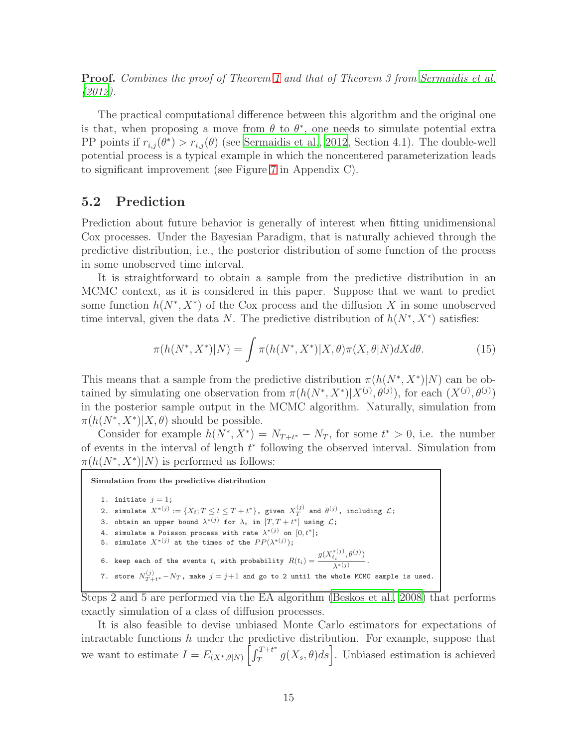Proof. Combines the proof of Theorem [1](#page-4-0) and that of Theorem 3 from [Sermaidis et al.](#page-19-2) [\(2012\)](#page-19-2).

The practical computational difference between this algorithm and the original one is that, when proposing a move from  $\theta$  to  $\theta^*$ , one needs to simulate potential extra PP points if  $r_{i,j}(\theta^*) > r_{i,j}(\theta)$  (see [Sermaidis et al., 2012](#page-19-2), Section 4.1). The double-well potential process is a typical example in which the noncentered parameterization leads to significant improvement (see Figure [7](#page-24-0) in Appendix C).

### 5.2 Prediction

Prediction about future behavior is generally of interest when fitting unidimensional Cox processes. Under the Bayesian Paradigm, that is naturally achieved through the predictive distribution, i.e., the posterior distribution of some function of the process in some unobserved time interval.

It is straightforward to obtain a sample from the predictive distribution in an MCMC context, as it is considered in this paper. Suppose that we want to predict some function  $h(N^*, X^*)$  of the Cox process and the diffusion X in some unobserved time interval, given the data N. The predictive distribution of  $h(N^*, X^*)$  satisfies:

$$
\pi(h(N^*, X^*)|N) = \int \pi(h(N^*, X^*)|X, \theta)\pi(X, \theta|N)dX d\theta.
$$
 (15)

This means that a sample from the predictive distribution  $\pi(h(N^*, X^*)|N)$  can be obtained by simulating one observation from  $\pi(h(N^*, X^*)|X^{(j)}, \theta^{(j)})$ , for each  $(X^{(j)}, \theta^{(j)})$ in the posterior sample output in the MCMC algorithm. Naturally, simulation from  $\pi(h(N^*, X^*)|X, \theta)$  should be possible.

Consider for example  $h(N^*, X^*) = N_{T+t^*} - N_T$ , for some  $t^* > 0$ , i.e. the number of events in the interval of length  $t^*$  following the observed interval. Simulation from  $\pi(h(N^*, X^*)|N)$  is performed as follows:

Simulation from the predictive distribution

1. initiate  $j = 1$ ; 2. simulate  $X^{*(j)} := \{X_t; T \le t \le T+t^*\}$ , given  $X^{(j)}_T$  and  $\theta^{(j)}$ , including  $\mathcal{L}$ ; 3. obtain an upper bound  $\lambda^{*(j)}$  for  $\lambda_s$  in  $[T, T + t^*]$  using  $\mathcal{L}$ ; 4. simulate a Poisson process with rate  $\lambda^{*(j)}$  on  $[0,t^*]$ ; 5. simulate  $X^{*(j)}$  at the times of the  $PP(\lambda^{*(j)})$ ; 6. keep each of the events  $t_i$  with probability  $R(t_i) = \frac{g(X_{t_i}^{*(j)}, \theta^{(j)})}{s*(s_i)}$  $\frac{\lambda^*(j)}{\lambda^*(j)}$ . 7. store  $N_{T+t^*}^{(j)}-N_T$ , make  $j=j+1$  and go to 2 until the whole MCMC sample is used.

Steps 2 and 5 are performed via the EA algorithm [\(Beskos et al., 2008](#page-17-1)) that performs exactly simulation of a class of diffusion processes.

It is also feasible to devise unbiased Monte Carlo estimators for expectations of intractable functions  $h$  under the predictive distribution. For example, suppose that we want to estimate  $I = E_{(X^*, \theta|N)} \left[ \int_T^{T+t^*}$  $T^{T+t^*}_{T} g(X_s, \theta) ds$ . Unbiased estimation is achieved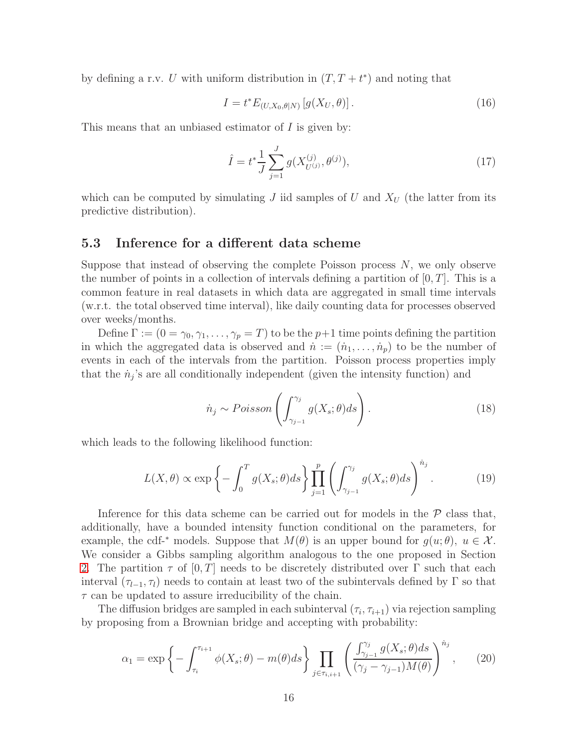by defining a r.v. U with uniform distribution in  $(T, T + t^*)$  and noting that

$$
I = t^* E_{(U, X_0, \theta | N)} \left[ g(X_U, \theta) \right]. \tag{16}
$$

This means that an unbiased estimator of  $I$  is given by:

$$
\hat{I} = t^* \frac{1}{J} \sum_{j=1}^{J} g(X_{U^{(j)}}^{(j)}, \theta^{(j)}), \tag{17}
$$

which can be computed by simulating J iid samples of U and  $X_U$  (the latter from its predictive distribution).

#### <span id="page-15-1"></span>5.3 Inference for a different data scheme

Suppose that instead of observing the complete Poisson process  $N$ , we only observe the number of points in a collection of intervals defining a partition of  $[0, T]$ . This is a common feature in real datasets in which data are aggregated in small time intervals (w.r.t. the total observed time interval), like daily counting data for processes observed over weeks/months.

Define  $\Gamma := (0 = \gamma_0, \gamma_1, \dots, \gamma_p = T)$  to be the  $p+1$  time points defining the partition in which the aggregated data is observed and  $\dot{n} := (\dot{n}_1, \dots, \dot{n}_p)$  to be the number of events in each of the intervals from the partition. Poisson process properties imply that the  $\dot{n}_j$ 's are all conditionally independent (given the intensity function) and

$$
\dot{n}_j \sim Poisson\left(\int_{\gamma_{j-1}}^{\gamma_j} g(X_s; \theta) ds\right). \tag{18}
$$

which leads to the following likelihood function:

$$
L(X,\theta) \propto \exp\left\{-\int_0^T g(X_s;\theta)ds\right\} \prod_{j=1}^p \left(\int_{\gamma_{j-1}}^{\gamma_j} g(X_s;\theta)ds\right)^{n_j}.\tag{19}
$$

Inference for this data scheme can be carried out for models in the  $\mathcal P$  class that, additionally, have a bounded intensity function conditional on the parameters, for example, the cdf-<sup>\*</sup> models. Suppose that  $M(\theta)$  is an upper bound for  $q(u;\theta)$ ,  $u \in \mathcal{X}$ . We consider a Gibbs sampling algorithm analogous to the one proposed in Section [2.](#page-2-0) The partition  $\tau$  of  $[0, T]$  needs to be discretely distributed over  $\Gamma$  such that each interval  $(\tau_{l-1}, \tau_l)$  needs to contain at least two of the subintervals defined by Γ so that  $\tau$  can be updated to assure irreducibility of the chain.

The diffusion bridges are sampled in each subinterval  $(\tau_i, \tau_{i+1})$  via rejection sampling by proposing from a Brownian bridge and accepting with probability:

<span id="page-15-0"></span>
$$
\alpha_1 = \exp\left\{-\int_{\tau_i}^{\tau_{i+1}} \phi(X_s; \theta) - m(\theta) ds\right\} \prod_{j \in \tau_{i,i+1}} \left(\frac{\int_{\gamma_{j-1}}^{\gamma_j} g(X_s; \theta) ds}{(\gamma_j - \gamma_{j-1}) M(\theta)}\right)^{n_j},\tag{20}
$$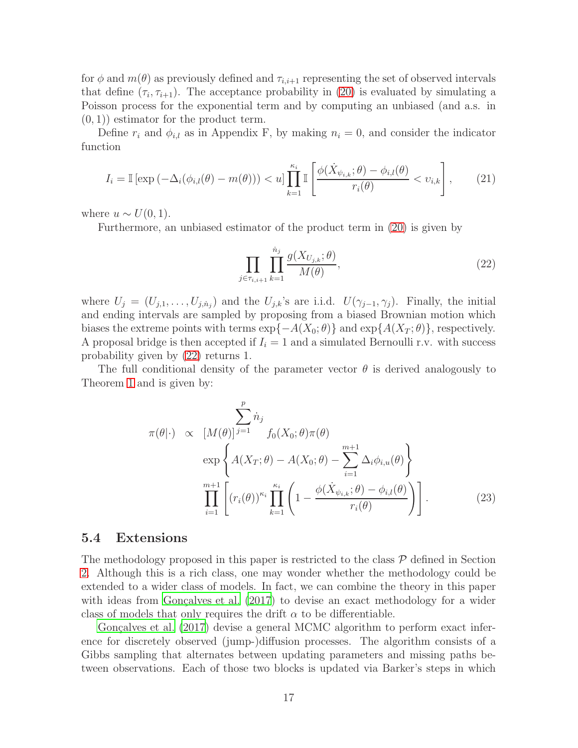for  $\phi$  and  $m(\theta)$  as previously defined and  $\tau_{i,i+1}$  representing the set of observed intervals that define  $(\tau_i, \tau_{i+1})$ . The acceptance probability in [\(20\)](#page-15-0) is evaluated by simulating a Poisson process for the exponential term and by computing an unbiased (and a.s. in  $(0, 1)$ ) estimator for the product term.

Define  $r_i$  and  $\phi_{i,l}$  as in Appendix F, by making  $n_i = 0$ , and consider the indicator function

<span id="page-16-1"></span>
$$
I_i = \mathbb{I}\left[\exp\left(-\Delta_i(\phi_{i,l}(\theta) - m(\theta)\right)\right) < u\right] \prod_{k=1}^{\kappa_i} \mathbb{I}\left[\frac{\phi(\dot{X}_{\psi_{i,k}};\theta) - \phi_{i,l}(\theta)}{r_i(\theta)} < v_{i,k}\right],\tag{21}
$$

where  $u \sim U(0, 1)$ .

Furthermore, an unbiased estimator of the product term in [\(20\)](#page-15-0) is given by

<span id="page-16-0"></span>
$$
\prod_{j \in \tau_{i,i+1}} \prod_{k=1}^{\dot{n}_j} \frac{g(X_{U_{j,k}}; \theta)}{M(\theta)},
$$
\n(22)

where  $U_j = (U_{j,1}, \ldots, U_{j,n_j})$  and the  $U_{j,k}$ 's are i.i.d.  $U(\gamma_{j-1}, \gamma_j)$ . Finally, the initial and ending intervals are sampled by proposing from a biased Brownian motion which biases the extreme points with terms  $\exp\{-A(X_0; \theta)\}\$  and  $\exp\{A(X_T; \theta)\}\$ , respectively. A proposal bridge is then accepted if  $I_i = 1$  and a simulated Bernoulli r.v. with success probability given by [\(22\)](#page-16-0) returns 1.

The full conditional density of the parameter vector  $\theta$  is derived analogously to Theorem [1](#page-4-0) and is given by:

$$
\pi(\theta|\cdot) \propto [M(\theta)]^{j=1} \quad f_0(X_0;\theta)\pi(\theta)
$$

$$
\exp\left\{A(X_T;\theta) - A(X_0;\theta) - \sum_{i=1}^{m+1} \Delta_i \phi_{i,u}(\theta)\right\}
$$

$$
\prod_{i=1}^{m+1} \left[ (r_i(\theta))^{\kappa_i} \prod_{k=1}^{\kappa_i} \left(1 - \frac{\phi(\dot{X}_{\psi_{i,k}};\theta) - \phi_{i,l}(\theta)}{r_i(\theta)}\right) \right].
$$
(23)

#### 5.4 Extensions

The methodology proposed in this paper is restricted to the class  $P$  defined in Section [2.](#page-2-0) Although this is a rich class, one may wonder whether the methodology could be extended to a wider class of models. In fact, we can combine the theory in this paper with ideas from Gonçalves et al.  $(2017)$  to devise an exact methodology for a wider class of models that only requires the drift  $\alpha$  to be differentiable.

Gonçalves et al.  $(2017)$  devise a general MCMC algorithm to perform exact inference for discretely observed (jump-)diffusion processes. The algorithm consists of a Gibbs sampling that alternates between updating parameters and missing paths between observations. Each of those two blocks is updated via Barker's steps in which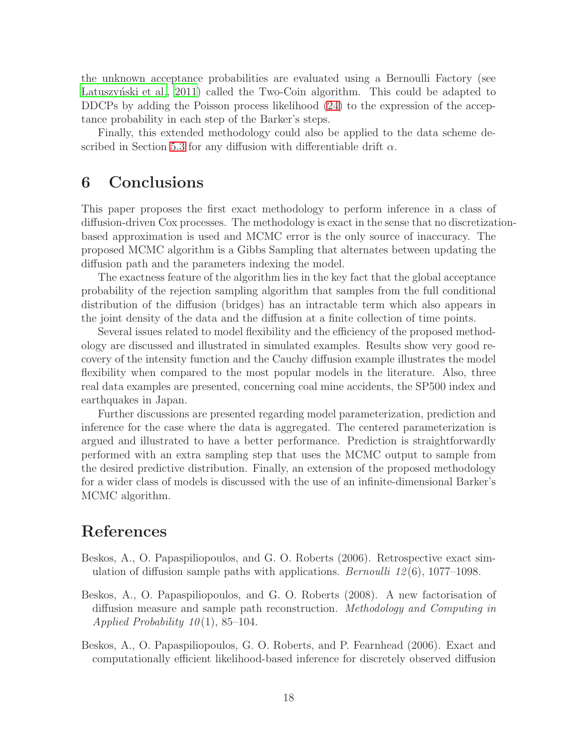the unknown acceptance probabilities are evaluated using a Bernoulli Factory (see Latuszynski et al., 2011) called the Two-Coin algorithm. This could be adapted to DDCPs by adding the Poisson process likelihood [\(24\)](#page-20-2) to the expression of the acceptance probability in each step of the Barker's steps.

Finally, this extended methodology could also be applied to the data scheme de-scribed in Section [5.3](#page-15-1) for any diffusion with differentiable drift  $\alpha$ .

# 6 Conclusions

This paper proposes the first exact methodology to perform inference in a class of diffusion-driven Cox processes. The methodology is exact in the sense that no discretizationbased approximation is used and MCMC error is the only source of inaccuracy. The proposed MCMC algorithm is a Gibbs Sampling that alternates between updating the diffusion path and the parameters indexing the model.

The exactness feature of the algorithm lies in the key fact that the global acceptance probability of the rejection sampling algorithm that samples from the full conditional distribution of the diffusion (bridges) has an intractable term which also appears in the joint density of the data and the diffusion at a finite collection of time points.

Several issues related to model flexibility and the efficiency of the proposed methodology are discussed and illustrated in simulated examples. Results show very good recovery of the intensity function and the Cauchy diffusion example illustrates the model flexibility when compared to the most popular models in the literature. Also, three real data examples are presented, concerning coal mine accidents, the SP500 index and earthquakes in Japan.

Further discussions are presented regarding model parameterization, prediction and inference for the case where the data is aggregated. The centered parameterization is argued and illustrated to have a better performance. Prediction is straightforwardly performed with an extra sampling step that uses the MCMC output to sample from the desired predictive distribution. Finally, an extension of the proposed methodology for a wider class of models is discussed with the use of an infinite-dimensional Barker's MCMC algorithm.

# References

- <span id="page-17-2"></span>Beskos, A., O. Papaspiliopoulos, and G. O. Roberts (2006). Retrospective exact simulation of diffusion sample paths with applications. *Bernoulli 12*(6), 1077–1098.
- <span id="page-17-1"></span>Beskos, A., O. Papaspiliopoulos, and G. O. Roberts (2008). A new factorisation of diffusion measure and sample path reconstruction. Methodology and Computing in Applied Probability  $10(1)$ , 85–104.
- <span id="page-17-0"></span>Beskos, A., O. Papaspiliopoulos, G. O. Roberts, and P. Fearnhead (2006). Exact and computationally efficient likelihood-based inference for discretely observed diffusion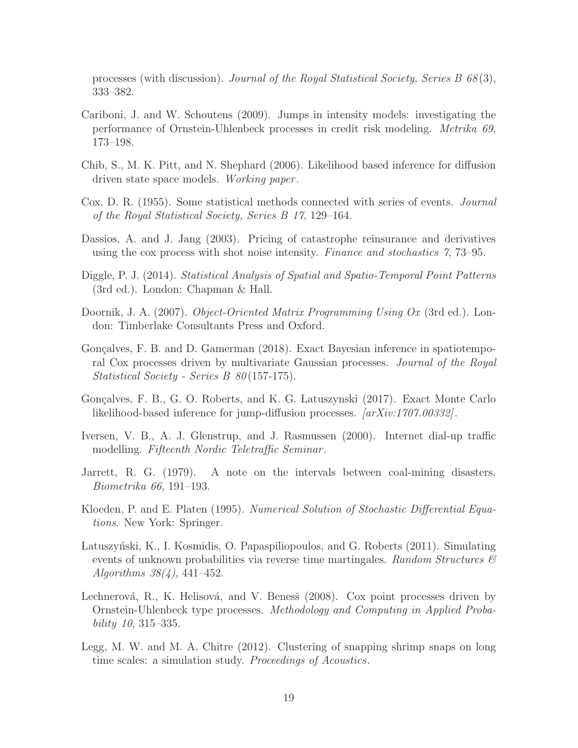processes (with discussion). Journal of the Royal Statistical Society, Series B 68 (3), 333–382.

- <span id="page-18-2"></span>Cariboni, J. and W. Schoutens (2009). Jumps in intensity models: investigating the performance of Ornstein-Uhlenbeck processes in credit risk modeling. Metrika 69, 173–198.
- <span id="page-18-1"></span>Chib, S., M. K. Pitt, and N. Shephard (2006). Likelihood based inference for diffusion driven state space models. *Working paper*.
- <span id="page-18-0"></span>Cox, D. R. (1955). Some statistical methods connected with series of events. Journal of the Royal Statistical Society, Series B 17, 129–164.
- <span id="page-18-4"></span>Dassios, A. and J. Jang (2003). Pricing of catastrophe reinsurance and derivatives using the cox process with shot noise intensity. Finance and stochastics 7, 73–95.
- <span id="page-18-9"></span>Diggle, P. J. (2014). Statistical Analysis of Spatial and Spatio-Temporal Point Patterns (3rd ed.). London: Chapman & Hall.
- <span id="page-18-11"></span>Doornik, J. A. (2007). *Object-Oriented Matrix Programming Using Ox* (3rd ed.). London: Timberlake Consultants Press and Oxford.
- <span id="page-18-10"></span>Gonçalves, F. B. and D. Gamerman (2018). Exact Bayesian inference in spatiotemporal Cox processes driven by multivariate Gaussian processes. Journal of the Royal Statistical Society - Series B 80(157-175).
- <span id="page-18-8"></span>Gonçalves, F. B., G. O. Roberts, and K. G. Latuszynski (2017). Exact Monte Carlo likelihood-based inference for jump-diffusion processes. [arXiv:1707.00332].
- <span id="page-18-3"></span>Iversen, V. B., A. J. Glenstrup, and J. Rasmussen (2000). Internet dial-up traffic modelling. Fifteenth Nordic Teletraffic Seminar.
- <span id="page-18-12"></span>Jarrett, R. G. (1979). A note on the intervals between coal-mining disasters. Biometrika 66, 191–193.
- <span id="page-18-6"></span>Kloeden, P. and E. Platen (1995). Numerical Solution of Stochastic Differential Equations. New York: Springer.
- <span id="page-18-13"></span>Latuszyński, K., I. Kosmidis, O. Papaspiliopoulos, and G. Roberts (2011). Simulating events of unknown probabilities via reverse time martingales. Random Structures  $\mathcal{B}$ Algorithms 38(4), 441–452.
- <span id="page-18-7"></span>Lechnerová, R., K. Helisová, and V. Benesš (2008). Cox point processes driven by Ornstein-Uhlenbeck type processes. Methodology and Computing in Applied Probability 10, 315–335.
- <span id="page-18-5"></span>Legg, M. W. and M. A. Chitre (2012). Clustering of snapping shrimp snaps on long time scales: a simulation study. *Proceedings of Acoustics*.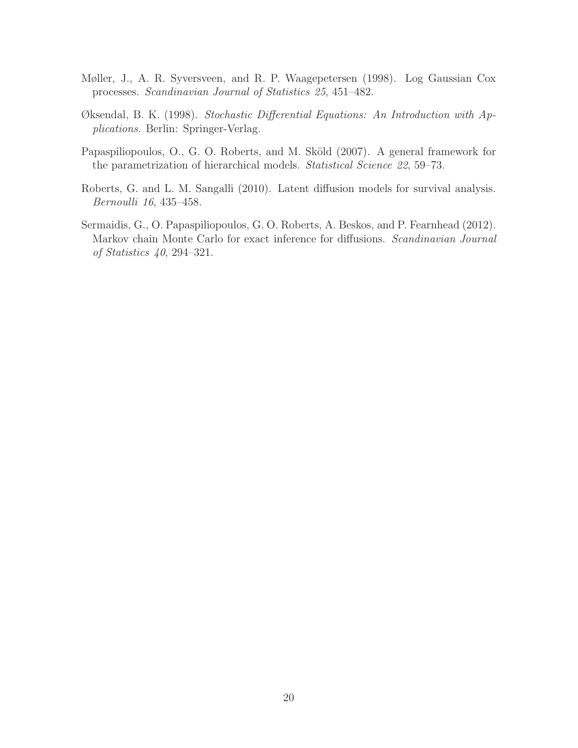- <span id="page-19-3"></span>Møller, J., A. R. Syversveen, and R. P. Waagepetersen (1998). Log Gaussian Cox processes. Scandinavian Journal of Statistics 25, 451–482.
- <span id="page-19-1"></span>Øksendal, B. K. (1998). Stochastic Differential Equations: An Introduction with Applications. Berlin: Springer-Verlag.
- <span id="page-19-4"></span>Papaspiliopoulos, O., G. O. Roberts, and M. Sköld (2007). A general framework for the parametrization of hierarchical models. Statistical Science 22, 59–73.
- <span id="page-19-0"></span>Roberts, G. and L. M. Sangalli (2010). Latent diffusion models for survival analysis. Bernoulli 16, 435–458.
- <span id="page-19-2"></span>Sermaidis, G., O. Papaspiliopoulos, G. O. Roberts, A. Beskos, and P. Fearnhead (2012). Markov chain Monte Carlo for exact inference for diffusions. Scandinavian Journal of Statistics 40, 294–321.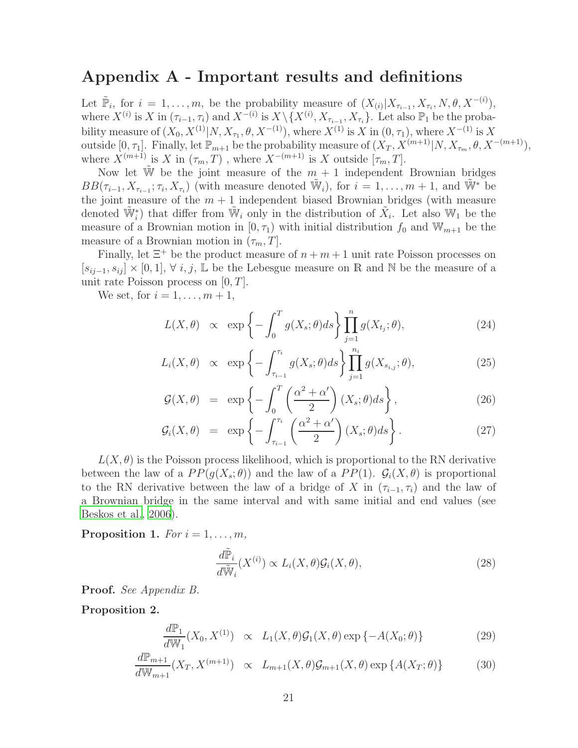### Appendix A - Important results and definitions

Let  $\tilde{\mathbb{P}}_i$ , for  $i = 1, \ldots, m$ , be the probability measure of  $(X_{(i)} | X_{\tau_{i-1}}, X_{\tau_i}, N, \theta, X^{-(i)})$ , where  $X^{(i)}$  is X in  $(\tau_{i-1}, \tau_i)$  and  $X^{-(i)}$  is  $X \setminus \{X^{(i)}, X_{\tau_{i-1}}, X_{\tau_i}\}$ . Let also  $\mathbb{P}_1$  be the probability measure of  $(X_0, X^{(1)}|N, X_{\tau_1}, \theta, X^{-(1)})$ , where  $X^{(1)}$  is X in  $(0, \tau_1)$ , where  $X^{-(1)}$  is X outside  $[0, \tau_1]$ . Finally, let  $\mathbb{P}_{m+1}$  be the probability measure of  $(X_T, X^{(m+1)}|N, X_{\tau_m}, \theta, X^{-(m+1)}),$ where  $X^{(m+1)}$  is X in  $(\tau_m, T)$ , where  $X^{-(m+1)}$  is X outside  $[\tau_m, T]$ .

Now let  $\tilde{W}$  be the joint measure of the  $m + 1$  independent Brownian bridges  $BB(\tau_{i-1}, X_{\tau_{i-1}}; \tau_i, X_{\tau_i})$  (with measure denoted  $\tilde{W}_i$ ), for  $i = 1, \ldots, m+1$ , and  $\tilde{W}^*$  be the joint measure of the  $m + 1$  independent biased Brownian bridges (with measure denoted  $\widetilde{\mathbb{W}}_i^*$  that differ from  $\widetilde{\mathbb{W}}_i$  only in the distribution of  $\widetilde{X}_i$ . Let also  $\mathbb{W}_1$  be the measure of a Brownian motion in  $[0, \tau_1)$  with initial distribution  $f_0$  and  $\mathbb{W}_{m+1}$  be the measure of a Brownian motion in  $(\tau_m, T]$ .

Finally, let  $\Xi^+$  be the product measure of  $n + m + 1$  unit rate Poisson processes on  $[s_{ii-1}, s_{ii}] \times [0, 1], \forall i, j, \mathbb{L}$  be the Lebesgue measure on R and N be the measure of a unit rate Poisson process on  $[0, T]$ .

We set, for  $i = 1, \ldots, m + 1$ ,

<span id="page-20-2"></span>
$$
L(X, \theta) \propto \exp\left\{-\int_0^T g(X_s; \theta)ds\right\} \prod_{j=1}^n g(X_{t_j}; \theta), \tag{24}
$$

$$
L_i(X, \theta) \propto \exp\left\{-\int_{\tau_{i-1}}^{\tau_i} g(X_s; \theta) ds\right\} \prod_{j=1}^{n_i} g(X_{s_{i,j}}; \theta), \tag{25}
$$

$$
\mathcal{G}(X,\theta) = \exp\left\{-\int_0^T \left(\frac{\alpha^2 + \alpha'}{2}\right) (X_s;\theta) ds\right\},\tag{26}
$$

$$
\mathcal{G}_i(X,\theta) = \exp\left\{-\int_{\tau_{i-1}}^{\tau_i} \left(\frac{\alpha^2 + \alpha'}{2}\right) (X_s;\theta) ds\right\}.
$$
 (27)

 $L(X, \theta)$  is the Poisson process likelihood, which is proportional to the RN derivative between the law of a  $PP(g(X_s; \theta))$  and the law of a  $PP(1)$ .  $\mathcal{G}_i(X, \theta)$  is proportional to the RN derivative between the law of a bridge of X in  $(\tau_{i-1}, \tau_i)$  and the law of a Brownian bridge in the same interval and with same initial and end values (see [Beskos et al.](#page-17-0), [2006](#page-17-0)).

<span id="page-20-0"></span>Proposition 1. For  $i = 1, \ldots, m$ ,

$$
\frac{d\tilde{\mathbb{P}}_i}{d\tilde{\mathbb{W}}_i}(X^{(i)}) \propto L_i(X, \theta) \mathcal{G}_i(X, \theta),\tag{28}
$$

Proof. See Appendix B.

<span id="page-20-1"></span>Proposition 2.

$$
\frac{d\mathbb{P}_1}{d\mathbb{W}_1}(X_0, X^{(1)}) \propto L_1(X, \theta) \mathcal{G}_1(X, \theta) \exp\{-A(X_0; \theta)\}\
$$
\n(29)

$$
\frac{d\mathbb{P}_{m+1}}{d\mathbb{W}_{m+1}}(X_T, X^{(m+1)}) \propto L_{m+1}(X, \theta) \mathcal{G}_{m+1}(X, \theta) \exp\{A(X_T; \theta)\}\n\tag{30}
$$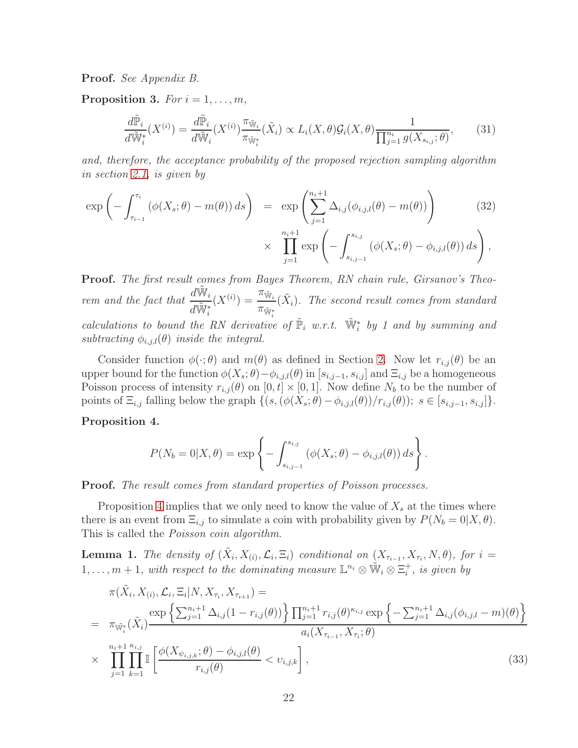Proof. See Appendix B.

<span id="page-21-0"></span>Proposition 3. For  $i = 1, \ldots, m$ ,

$$
\frac{d\tilde{\mathbb{P}}_i}{d\tilde{\mathbb{W}}_i^*}(X^{(i)}) = \frac{d\tilde{\mathbb{P}}_i}{d\tilde{\mathbb{W}}_i}(X^{(i)})\frac{\pi_{\tilde{\mathbb{W}}_i}}{\pi_{\tilde{\mathbb{W}}_i^*}}(\tilde{X}_i) \propto L_i(X,\theta)\mathcal{G}_i(X,\theta)\frac{1}{\prod_{j=1}^{n_i}g(X_{s_{i,j}};\theta)},\tag{31}
$$

and, therefore, the acceptance probability of the proposed rejection sampling algorithm in section [2.1,](#page-4-2) is given by

$$
\exp\left(-\int_{\tau_{i-1}}^{\tau_i} \left(\phi(X_s;\theta) - m(\theta)\right) ds\right) = \exp\left(\sum_{j=1}^{n_i+1} \Delta_{i,j}(\phi_{i,j,l}(\theta) - m(\theta))\right) \tag{32}
$$

$$
\times \prod_{j=1}^{n_i+1} \exp \left(-\int_{s_{i,j-1}}^{s_{i,j}} \left(\phi(X_s;\theta) - \phi_{i,j,l}(\theta)\right) ds\right),
$$

Proof. The first result comes from Bayes Theorem, RN chain rule, Girsanov's Theorem and the fact that  $\frac{d\tilde{W}_{i}}{d\tilde{W}_{i}}$  $d\tilde{\mathbb{W}}_i^*$  $(X^{(i)}) =$  $\pi_{\tilde{\mathbb{W}}_i}$  $\pi_{\tilde{\mathbb{W}}^*}$ calculations to bound the RN derivative of  $\tilde{P}_i$  w.r.t.  $\tilde{W}_i^*$  by 1 and by summing and  $(\tilde{X}_i)$ . The second result comes from standard subtracting  $\phi_{i,j,l}(\theta)$  inside the integral.

Consider function  $\phi(\cdot;\theta)$  and  $m(\theta)$  as defined in Section [2.](#page-2-0) Now let  $r_{i,j}(\theta)$  be an upper bound for the function  $\phi(X_s; \theta) - \phi_{i,j,l}(\theta)$  in  $[s_{i,j-1}, s_{i,j}]$  and  $\Xi_{i,j}$  be a homogeneous Poisson process of intensity  $r_{i,j}(\theta)$  on  $[0, t] \times [0, 1]$ . Now define  $N_b$  to be the number of points of  $\Xi_{i,j}$  falling below the graph  $\{(s,(\phi(X_s;\theta)-\phi_{i,j,l}(\theta))/r_{i,j}(\theta)); s \in [s_{i,j-1},s_{i,j}]\}.$ 

<span id="page-21-1"></span>Proposition 4.

$$
P(N_b = 0|X, \theta) = \exp \left\{-\int_{s_{i,j-1}}^{s_{i,j}} (\phi(X_s; \theta) - \phi_{i,j,l}(\theta)) ds\right\}.
$$

Proof. The result comes from standard properties of Poisson processes.

Proposition [4](#page-21-1) implies that we only need to know the value of  $X_s$  at the times where there is an event from  $\Xi_{i,j}$  to simulate a coin with probability given by  $P(N_b = 0|X, \theta)$ . This is called the Poisson coin algorithm.

<span id="page-21-2"></span>**Lemma 1.** The density of  $(\tilde{X}_i, X_{(i)}, \mathcal{L}_i, \Xi_i)$  conditional on  $(X_{\tau_{i-1}}, X_{\tau_i}, N, \theta)$ , for  $i =$  $1, \ldots, m+1$ , with respect to the dominating measure  $\mathbb{L}^{n_i} \otimes \tilde{W}_i \otimes \Xi_i^+$ , is given by

<span id="page-21-3"></span>
$$
\pi(\tilde{X}_i, X_{(i)}, \mathcal{L}_i, \Xi_i | N, X_{\tau_i}, X_{\tau_{i+1}}) =
$$
\n
$$
= \pi_{\tilde{W}_i^*}(\tilde{X}_i) \frac{\exp\left\{\sum_{j=1}^{n_i+1} \Delta_{i,j} (1 - r_{i,j}(\theta))\right\} \prod_{j=1}^{n_i+1} r_{i,j}(\theta)^{\kappa_{i,j}} \exp\left\{-\sum_{j=1}^{n_i+1} \Delta_{i,j} (\phi_{i,j,l} - m)(\theta)\right\}}{a_i(X_{\tau_{i-1}}, X_{\tau_i}; \theta)}
$$
\n
$$
\times \prod_{j=1}^{n_i+1} \prod_{k=1}^{\kappa_{i,j}} \mathbb{I}\left[\frac{\phi(X_{\psi_{i,j,k}}; \theta) - \phi_{i,j,l}(\theta)}{r_{i,j}(\theta)} < v_{i,j,k}\right],
$$
\n(33)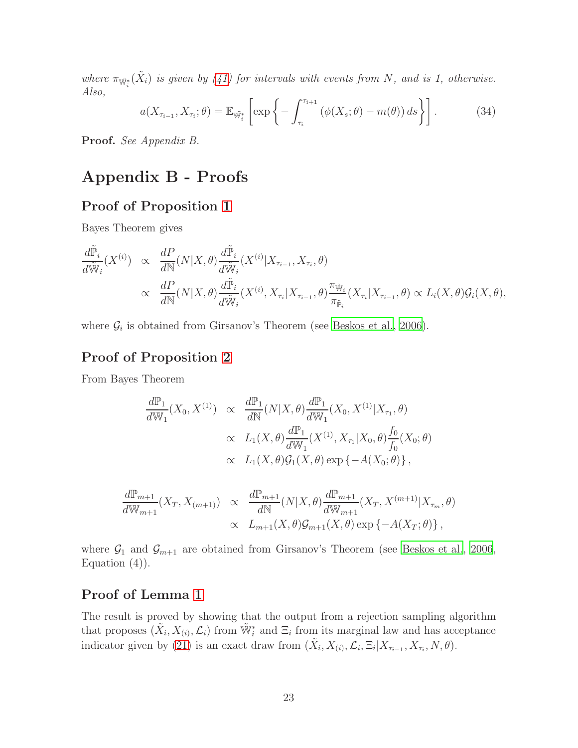where  $\pi_{\tilde{W}_i^*}(\tilde{X}_i)$  is given by [\(41\)](#page-27-0) for intervals with events from N, and is 1, otherwise. Also,

$$
a(X_{\tau_{i-1}}, X_{\tau_i}; \theta) = \mathbb{E}_{\tilde{\mathbb{W}}_i^*} \left[ \exp \left\{ - \int_{\tau_i}^{\tau_{i+1}} \left( \phi(X_s; \theta) - m(\theta) \right) ds \right\} \right]. \tag{34}
$$

Proof. See Appendix B.

# Appendix B - Proofs

### Proof of Proposition [1](#page-20-0)

Bayes Theorem gives

$$
\frac{d\tilde{\mathbb{P}}_i}{d\tilde{\mathbb{W}}_i}(X^{(i)}) \propto \frac{dP}{d\mathbb{N}}(N|X,\theta) \frac{d\tilde{\mathbb{P}}_i}{d\tilde{\mathbb{W}}_i}(X^{(i)}|X_{\tau_{i-1}},X_{\tau_i},\theta) \n\times \frac{dP}{d\mathbb{N}}(N|X,\theta) \frac{d\tilde{\mathbb{P}}_i}{d\tilde{\mathbb{W}}_i}(X^{(i)},X_{\tau_i}|X_{\tau_{i-1}},\theta) \frac{\pi_{\tilde{\mathbb{W}}_i}}{\pi_{\tilde{\mathbb{P}}_i}}(X_{\tau_i}|X_{\tau_{i-1}},\theta) \propto L_i(X,\theta) \mathcal{G}_i(X,\theta),
$$

where  $\mathcal{G}_i$  is obtained from Girsanov's Theorem (see [Beskos et al., 2006](#page-17-2)).

### Proof of Proposition [2](#page-20-1)

From Bayes Theorem

$$
\frac{d\mathbb{P}_1}{d\mathbb{W}_1}(X_0, X^{(1)}) \propto \frac{d\mathbb{P}_1}{d\mathbb{N}}(N|X, \theta) \frac{d\mathbb{P}_1}{d\mathbb{W}_1}(X_0, X^{(1)}|X_{\tau_1}, \theta) \n\times L_1(X, \theta) \frac{d\mathbb{P}_1}{d\mathbb{W}_1}(X^{(1)}, X_{\tau_1}|X_0, \theta) \frac{f_0}{f_0}(X_0; \theta) \n\times L_1(X, \theta) \mathcal{G}_1(X, \theta) \exp\{-A(X_0; \theta)\},
$$

$$
\frac{d\mathbb{P}_{m+1}}{d\mathbb{W}_{m+1}}(X_T, X_{(m+1)}) \propto \frac{d\mathbb{P}_{m+1}}{d\mathbb{N}}(N|X, \theta) \frac{d\mathbb{P}_{m+1}}{d\mathbb{W}_{m+1}}(X_T, X^{(m+1)}|X_{\tau_m}, \theta)
$$

$$
\propto L_{m+1}(X, \theta) \mathcal{G}_{m+1}(X, \theta) \exp\{-A(X_T; \theta)\},
$$

where  $\mathcal{G}_1$  and  $\mathcal{G}_{m+1}$  are obtained from Girsanov's Theorem (see [Beskos et al., 2006](#page-17-2), Equation  $(4)$ ).

### Proof of Lemma [1](#page-21-2)

The result is proved by showing that the output from a rejection sampling algorithm that proposes  $(\tilde{X}_i, X_{(i)}, \mathcal{L}_i)$  from  $\tilde{W}_i^*$  and  $\Xi_i$  from its marginal law and has acceptance indicator given by [\(21\)](#page-16-1) is an exact draw from  $(\tilde{X}_i, X_{(i)}, \mathcal{L}_i, \Xi_i | X_{\tau_{i-1}}, X_{\tau_i}, N, \theta)$ .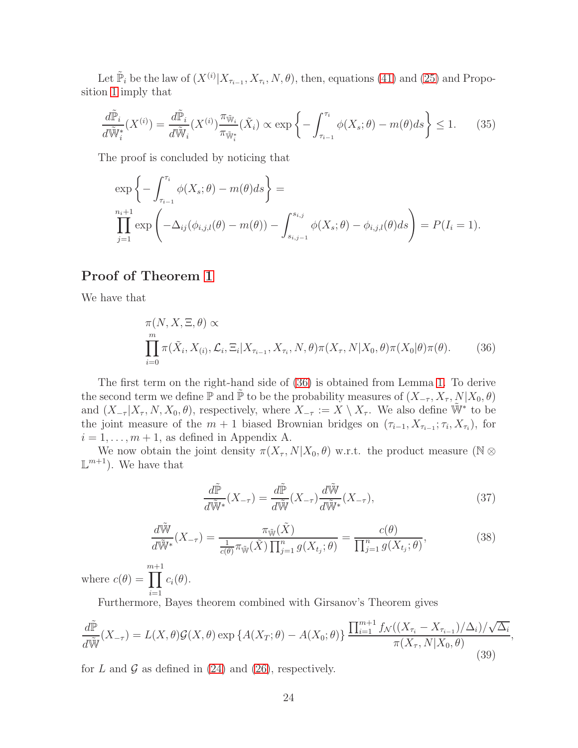Let  $\tilde{\mathbb{P}}_i$  be the law of  $(X^{(i)}|X_{\tau_{i-1}}, X_{\tau_i}, N, \theta)$ , then, equations [\(41\)](#page-27-0) and [\(25\)](#page-20-2) and Proposition [1](#page-20-0) imply that

$$
\frac{d\tilde{\mathbb{P}}_i}{d\tilde{\mathbb{W}}_i^*}(X^{(i)}) = \frac{d\tilde{\mathbb{P}}_i}{d\tilde{\mathbb{W}}_i}(X^{(i)})\frac{\pi_{\tilde{\mathbb{W}}_i}}{\pi_{\tilde{\mathbb{W}}_i^*}}(\tilde{X}_i) \propto \exp\left\{-\int_{\tau_{i-1}}^{\tau_i} \phi(X_s; \theta) - m(\theta)ds\right\} \le 1.
$$
 (35)

The proof is concluded by noticing that

$$
\exp\left\{-\int_{\tau_{i-1}}^{\tau_i} \phi(X_s; \theta) - m(\theta)ds\right\} =
$$
  

$$
\prod_{j=1}^{n_i+1} \exp\left(-\Delta_{ij}(\phi_{i,j,l}(\theta) - m(\theta)) - \int_{s_{i,j-1}}^{s_{i,j}} \phi(X_s; \theta) - \phi_{i,j,l}(\theta)ds\right) = P(I_i = 1).
$$

### Proof of Theorem [1](#page-4-0)

We have that

<span id="page-23-0"></span>
$$
\pi(N, X, \Xi, \theta) \propto
$$
\n
$$
\prod_{i=0}^{m} \pi(\tilde{X}_i, X_{(i)}, \mathcal{L}_i, \Xi_i | X_{\tau_{i-1}}, X_{\tau_i}, N, \theta) \pi(X_{\tau}, N | X_0, \theta) \pi(X_0 | \theta) \pi(\theta).
$$
\n(36)

The first term on the right-hand side of [\(36\)](#page-23-0) is obtained from Lemma [1.](#page-21-2) To derive the second term we define  $\mathbb P$  and  $\tilde{\mathbb P}$  to be the probability measures of  $(X_{-\tau}, X_{\tau}, N | X_0, \theta)$ and  $(X_{-\tau} | X_{\tau}, N, X_0, \theta)$ , respectively, where  $X_{-\tau} := X \setminus X_{\tau}$ . We also define  $\tilde{W}^*$  to be the joint measure of the  $m + 1$  biased Brownian bridges on  $(\tau_{i-1}, X_{\tau_{i-1}}; \tau_i, X_{\tau_i})$ , for  $i = 1, \ldots, m + 1$ , as defined in Appendix A.

We now obtain the joint density  $\pi(X_\tau, N|X_0, \theta)$  w.r.t. the product measure (N ⊗  $\mathbb{L}^{m+1}$ ). We have that

<span id="page-23-3"></span>
$$
\frac{d\tilde{\mathbb{P}}}{d\tilde{\mathbb{W}}^*}(X_{-\tau}) = \frac{d\tilde{\mathbb{P}}}{d\tilde{\mathbb{W}}}(X_{-\tau})\frac{d\tilde{\mathbb{W}}}{d\tilde{\mathbb{W}}^*}(X_{-\tau}),\tag{37}
$$

<span id="page-23-2"></span>
$$
\frac{d\tilde{\mathbb{W}}}{d\tilde{\mathbb{W}}^*}(X_{-\tau}) = \frac{\pi_{\tilde{\mathbb{W}}}(\tilde{X})}{\frac{1}{c(\theta)}\pi_{\tilde{\mathbb{W}}}(\tilde{X})\prod_{j=1}^n g(X_{t_j};\theta)} = \frac{c(\theta)}{\prod_{j=1}^n g(X_{t_j};\theta)},
$$
(38)

where  $c(\theta) =$ m $\Pi$  $^{+1}$  $i=1$  $c_i(\theta)$ .

Furthermore, Bayes theorem combined with Girsanov's Theorem gives

<span id="page-23-1"></span>
$$
\frac{d\tilde{\mathbb{P}}}{d\tilde{\mathbb{W}}}(X_{-\tau}) = L(X,\theta)\mathcal{G}(X,\theta) \exp\left\{A(X_T;\theta) - A(X_0;\theta)\right\} \frac{\prod_{i=1}^{m+1} f_{\mathcal{N}}((X_{\tau_i} - X_{\tau_{i-1}})/\Delta_i)/\sqrt{\Delta_i}}{\pi(X_{\tau}, N|X_0,\theta)},\tag{39}
$$

for L and G as defined in  $(24)$  and  $(26)$ , respectively.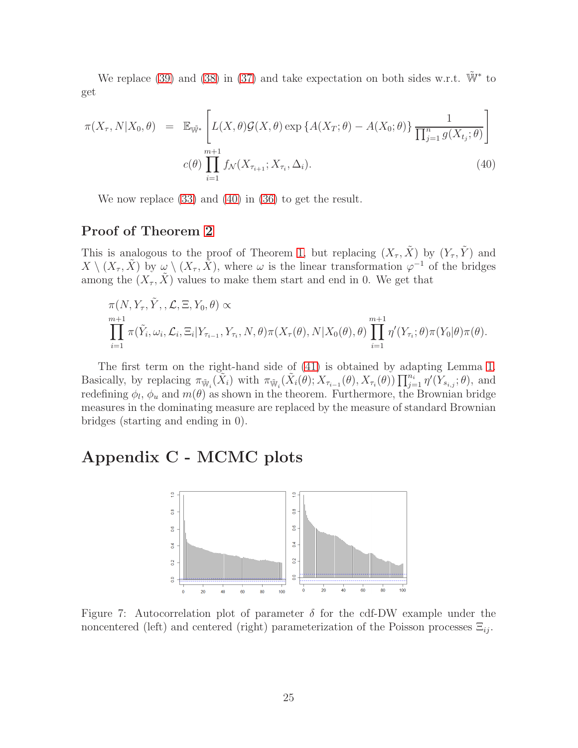We replace [\(39\)](#page-23-1) and [\(38\)](#page-23-2) in [\(37\)](#page-23-3) and take expectation on both sides w.r.t.  $\tilde{W}^*$  to get

<span id="page-24-1"></span>
$$
\pi(X_{\tau}, N | X_0, \theta) = \mathbb{E}_{\tilde{\mathbb{W}}^*} \left[ L(X, \theta) \mathcal{G}(X, \theta) \exp \{ A(X_T; \theta) - A(X_0; \theta) \} \frac{1}{\prod_{j=1}^n g(X_{t_j}; \theta)} \right]
$$
  

$$
c(\theta) \prod_{i=1}^{m+1} f_{\mathcal{N}}(X_{\tau_{i+1}}; X_{\tau_i}, \Delta_i).
$$
 (40)

We now replace [\(33\)](#page-21-3) and [\(40\)](#page-24-1) in [\(36\)](#page-23-0) to get the result.

### Proof of Theorem [2](#page-13-0)

This is analogous to the proof of Theorem [1,](#page-4-0) but replacing  $(X_\tau, \tilde{X})$  by  $(Y_\tau, \tilde{Y})$  and  $X \setminus (X_\tau, \tilde{X})$  by  $\omega \setminus (X_\tau, \tilde{X})$ , where  $\omega$  is the linear transformation  $\varphi^{-1}$  of the bridges among the  $(X_\tau, \tilde{X})$  values to make them start and end in 0. We get that

$$
\pi(N, Y_{\tau}, \tilde{Y}, \mathcal{L}, \Xi, Y_0, \theta) \propto
$$
  
\n
$$
\prod_{i=1}^{m+1} \pi(\tilde{Y}_i, \omega_i, \mathcal{L}_i, \Xi_i | Y_{\tau_{i-1}}, Y_{\tau_i}, N, \theta) \pi(X_{\tau}(\theta), N | X_0(\theta), \theta) \prod_{i=1}^{m+1} \eta'(Y_{\tau_i}; \theta) \pi(Y_0 | \theta) \pi(\theta).
$$

The first term on the right-hand side of [\(41\)](#page-27-0) is obtained by adapting Lemma [1.](#page-21-2) Basically, by replacing  $\pi_{\tilde{W}_i}(\tilde{X}_i)$  with  $\pi_{\tilde{W}_i}(\tilde{X}_i(\theta); X_{\tau_{i-1}}(\theta), X_{\tau_i}(\theta)) \prod_{j=1}^{n_i} \eta'(Y_{s_{i,j}}; \theta)$ , and redefining  $\phi_l$ ,  $\phi_u$  and  $m(\theta)$  as shown in the theorem. Furthermore, the Brownian bridge measures in the dominating measure are replaced by the measure of standard Brownian bridges (starting and ending in 0).

# Appendix C - MCMC plots



<span id="page-24-0"></span>Figure 7: Autocorrelation plot of parameter  $\delta$  for the cdf-DW example under the noncentered (left) and centered (right) parameterization of the Poisson processes  $\Xi_{ij}$ .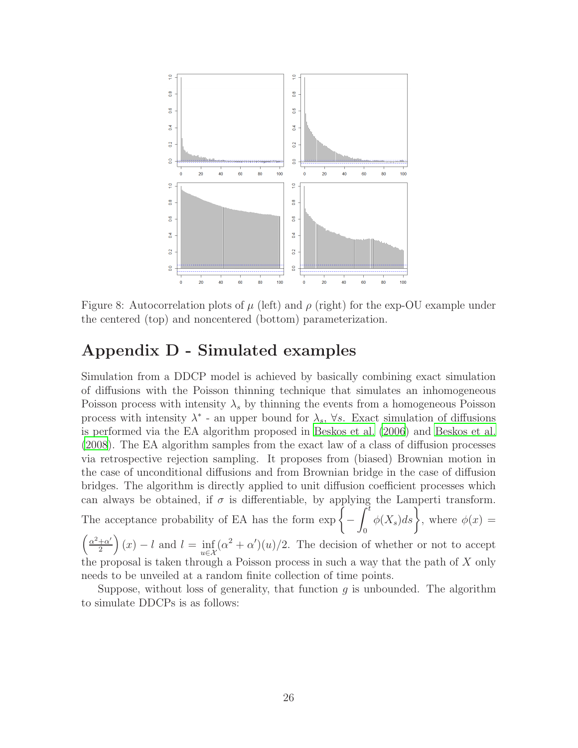

<span id="page-25-0"></span>Figure 8: Autocorrelation plots of  $\mu$  (left) and  $\rho$  (right) for the exp-OU example under the centered (top) and noncentered (bottom) parameterization.

# Appendix D - Simulated examples

Simulation from a DDCP model is achieved by basically combining exact simulation of diffusions with the Poisson thinning technique that simulates an inhomogeneous Poisson process with intensity  $\lambda_s$  by thinning the events from a homogeneous Poisson process with intensity  $\lambda^*$  - an upper bound for  $\lambda_s$ ,  $\forall s$ . Exact simulation of diffusions is performed via the EA algorithm proposed in [Beskos et al. \(2006](#page-17-2)) and [Beskos et al.](#page-17-1) [\(2008](#page-17-1)). The EA algorithm samples from the exact law of a class of diffusion processes via retrospective rejection sampling. It proposes from (biased) Brownian motion in the case of unconditional diffusions and from Brownian bridge in the case of diffusion bridges. The algorithm is directly applied to unit diffusion coefficient processes which can always be obtained, if  $\sigma$  is differentiable, by applying the Lamperti transform.  $\tilde{\int}^t$ 

The acceptance probability of EA has the form  $\exp \left\{ -\right\}$ 

$$
\phi(X_s)ds
$$
, where  $\phi(x) =$ 

0

 $\int \frac{\alpha^2 + \alpha'}{ }$  $\frac{1+\alpha'}{2}$   $(x) - l$  and  $l = \inf_{u \in \mathcal{X}} (\alpha^2 + \alpha')(u)/2$ . The decision of whether or not to accept the proposal is taken through a Poisson process in such a way that the path of X only needs to be unveiled at a random finite collection of time points.

Suppose, without loss of generality, that function  $g$  is unbounded. The algorithm to simulate DDCPs is as follows: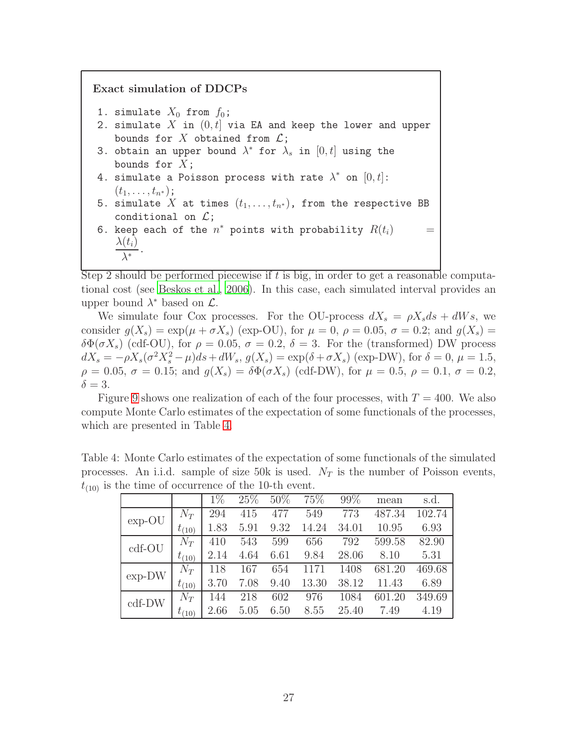Exact simulation of DDCPs 1. simulate  $X_0$  from  $f_0$ ; 2. simulate X in  $(0, t]$  via EA and keep the lower and upper bounds for X obtained from  $\mathcal{L}$ ; 3. obtain an upper bound  $\lambda^*$  for  $\lambda_s$  in  $[0,t]$  using the bounds for  $X$ ; 4. simulate a Poisson process with rate  $\lambda^*$  on  $[0,t]$ :  $(t_1, \ldots, t_{n^*});$ 5. simulate X at times  $(t_1, \ldots, t_{n^*})$ , from the respective BB conditional on  $\mathcal{L}$ ; 6. keep each of the  $n^*$  points with probability  $R(t_i)$   $\qquad \, =$  $\lambda(t_i)$  $\lambda^*$ .

Step 2 should be performed piecewise if  $t$  is big, in order to get a reasonable computational cost (see [Beskos et al.](#page-17-2), [2006](#page-17-2)). In this case, each simulated interval provides an upper bound  $\lambda^*$  based on  $\mathcal{L}$ .

We simulate four Cox processes. For the OU-process  $dX_s = \rho X_s ds + dWs$ , we consider  $g(X_s) = \exp(\mu + \sigma X_s)$  (exp-OU), for  $\mu = 0$ ,  $\rho = 0.05$ ,  $\sigma = 0.2$ ; and  $g(X_s) =$  $\delta\Phi(\sigma X_s)$  (cdf-OU), for  $\rho = 0.05$ ,  $\sigma = 0.2$ ,  $\delta = 3$ . For the (transformed) DW process  $dX_s = -\rho X_s(\sigma^2 X_s^2 - \mu)ds + dW_s, g(X_s) = \exp(\delta + \sigma X_s)$  (exp-DW), for  $\delta = 0, \mu = 1.5$ ,  $\rho = 0.05, \sigma = 0.15$ ; and  $g(X_s) = \delta \Phi(\sigma X_s)$  (cdf-DW), for  $\mu = 0.5, \rho = 0.1, \sigma = 0.2$ ,  $\delta = 3$ .

Figure [9](#page-27-1) shows one realization of each of the four processes, with  $T = 400$ . We also compute Monte Carlo estimates of the expectation of some functionals of the processes, which are presented in Table [4.](#page-26-0)

Table 4: Monte Carlo estimates of the expectation of some functionals of the simulated processes. An i.i.d. sample of size 50k is used.  $N_T$  is the number of Poisson events,  $t_{(10)}$  is the time of occurrence of the 10-th event.

<span id="page-26-0"></span>

|          |            | $1\%$ | 25\% | 50%  | 75%   | 99%   | mean   | s.d.   |
|----------|------------|-------|------|------|-------|-------|--------|--------|
| $exp-OU$ | $N_T$      | 294   | 415  | 477  | 549   | 773   | 487.34 | 102.74 |
|          | $t_{(10)}$ | 1.83  | 5.91 | 9.32 | 14.24 | 34.01 | 10.95  | 6.93   |
| cdf-OU   | $N_T$      | 410   | 543  | 599  | 656   | 792   | 599.58 | 82.90  |
|          | $t_{(10)}$ | 2.14  | 4.64 | 6.61 | 9.84  | 28.06 | 8.10   | 5.31   |
| $exp-DW$ | $N_T$      | 118   | 167  | 654  | 1171  | 1408  | 681.20 | 469.68 |
|          | $t_{(10)}$ | 3.70  | 7.08 | 9.40 | 13.30 | 38.12 | 11.43  | 6.89   |
| $cdf-DW$ | $N_T$      | 144   | 218  | 602  | 976   | 1084  | 601.20 | 349.69 |
|          | $t_{(10)}$ | 2.66  | 5.05 | 6.50 | 8.55  | 25.40 | 7.49   | 4.19   |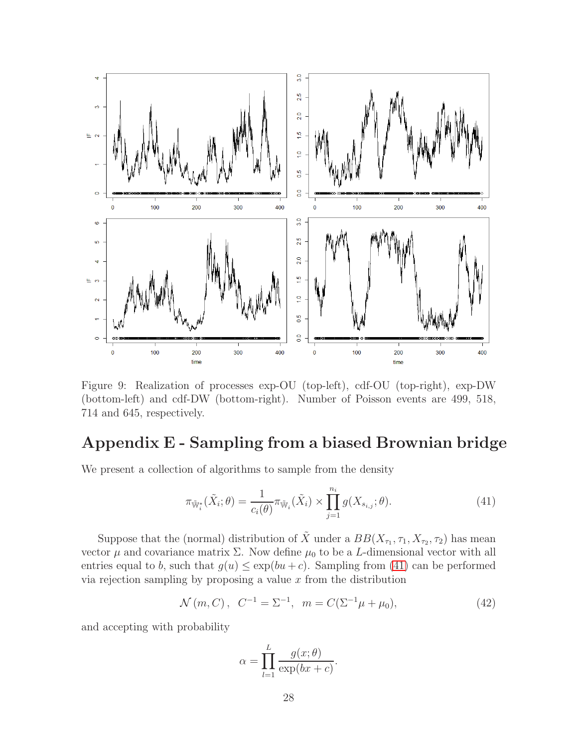

<span id="page-27-1"></span>Figure 9: Realization of processes exp-OU (top-left), cdf-OU (top-right), exp-DW (bottom-left) and cdf-DW (bottom-right). Number of Poisson events are 499, 518, 714 and 645, respectively.

# Appendix E - Sampling from a biased Brownian bridge

We present a collection of algorithms to sample from the density

<span id="page-27-0"></span>
$$
\pi_{\widetilde{\mathbb{W}}_i^*}(\tilde{X}_i; \theta) = \frac{1}{c_i(\theta)} \pi_{\widetilde{\mathbb{W}}_i}(\tilde{X}_i) \times \prod_{j=1}^{n_i} g(X_{s_{i,j}}; \theta).
$$
\n(41)

Suppose that the (normal) distribution of  $\tilde{X}$  under a  $BB(X_{\tau_1}, \tau_1, X_{\tau_2}, \tau_2)$  has mean vector  $\mu$  and covariance matrix  $\Sigma$ . Now define  $\mu_0$  to be a L-dimensional vector with all entries equal to b, such that  $g(u) \leq \exp(bu+c)$ . Sampling from [\(41\)](#page-27-0) can be performed via rejection sampling by proposing a value  $x$  from the distribution

<span id="page-27-2"></span>
$$
\mathcal{N}(m, C), C^{-1} = \Sigma^{-1}, m = C(\Sigma^{-1}\mu + \mu_0),
$$
\n(42)

and accepting with probability

$$
\alpha = \prod_{l=1}^{L} \frac{g(x; \theta)}{\exp(bx + c)}.
$$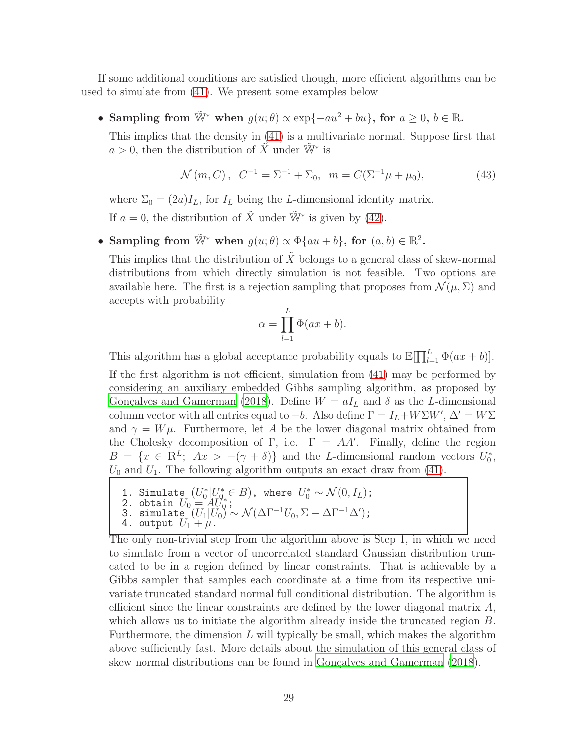If some additional conditions are satisfied though, more efficient algorithms can be used to simulate from [\(41\)](#page-27-0). We present some examples below

• Sampling from  $\tilde{W}^*$  when  $g(u; \theta) \propto \exp\{-au^2 + bu\}$ , for  $a \geq 0, b \in \mathbb{R}$ .

This implies that the density in [\(41\)](#page-27-0) is a multivariate normal. Suppose first that  $a > 0$ , then the distribution of  $\tilde{X}$  under  $\tilde{W}^*$  is

<span id="page-28-0"></span>
$$
\mathcal{N}(m, C), C^{-1} = \Sigma^{-1} + \Sigma_0, m = C(\Sigma^{-1}\mu + \mu_0),
$$
\n(43)

where  $\Sigma_0 = (2a)I_L$ , for  $I_L$  being the L-dimensional identity matrix. If  $a = 0$ , the distribution of  $\tilde{X}$  under  $\tilde{W}^*$  is given by [\(42\)](#page-27-2).

• Sampling from  $\widetilde{\mathbb{W}}^*$  when  $g(u; \theta) \propto \Phi\{au + b\}$ , for  $(a, b) \in \mathbb{R}^2$ .

This implies that the distribution of  $\tilde{X}$  belongs to a general class of skew-normal distributions from which directly simulation is not feasible. Two options are available here. The first is a rejection sampling that proposes from  $\mathcal{N}(\mu, \Sigma)$  and accepts with probability

$$
\alpha = \prod_{l=1}^{L} \Phi(ax+b).
$$

This algorithm has a global acceptance probability equals to  $\mathbb{E}[\prod_{l=1}^{L} \Phi(ax+b)].$ 

If the first algorithm is not efficient, simulation from [\(41\)](#page-27-0) may be performed by considering an auxiliary embedded Gibbs sampling algorithm, as proposed by Gonçalves and Gamerman (2018). Define  $W = aI_L$  and  $\delta$  as the L-dimensional column vector with all entries equal to  $-b$ . Also define  $\Gamma = I_L + W\Sigma W'$ ,  $\Delta' = W\Sigma$ and  $\gamma = W\mu$ . Furthermore, let A be the lower diagonal matrix obtained from the Cholesky decomposition of Γ, i.e.  $\Gamma = AA'$ . Finally, define the region  $B = \{x \in \mathbb{R}^L; Ax > -(\gamma + \delta)\}\$ and the L-dimensional random vectors  $U_0^*$ ,  $U_0$  and  $U_1$ . The following algorithm outputs an exact draw from [\(41\)](#page-27-0).

- 1. Simulate  $(U_0^*|U_0^* \in B)$ , where  $U_0^* \sim \mathcal{N}(0, I_L)$ ;<br>2. obtain  $U_0 = AU_0^*$ ;
- 3. simulate  $(U_1|U_0) \sim \mathcal{N}(\Delta \Gamma^{-1} U_0, \Sigma \Delta \Gamma^{-1} \Delta')$ ;
- 4. output  $U_1 + \mu$ .

The only non-trivial step from the algorithm above is Step 1, in which we need to simulate from a vector of uncorrelated standard Gaussian distribution truncated to be in a region defined by linear constraints. That is achievable by a Gibbs sampler that samples each coordinate at a time from its respective univariate truncated standard normal full conditional distribution. The algorithm is efficient since the linear constraints are defined by the lower diagonal matrix  $A$ , which allows us to initiate the algorithm already inside the truncated region  $B$ . Furthermore, the dimension  $L$  will typically be small, which makes the algorithm above sufficiently fast. More details about the simulation of this general class of skew normal distributions can be found in Gonçalves and Gamerman [\(2018](#page-18-10)).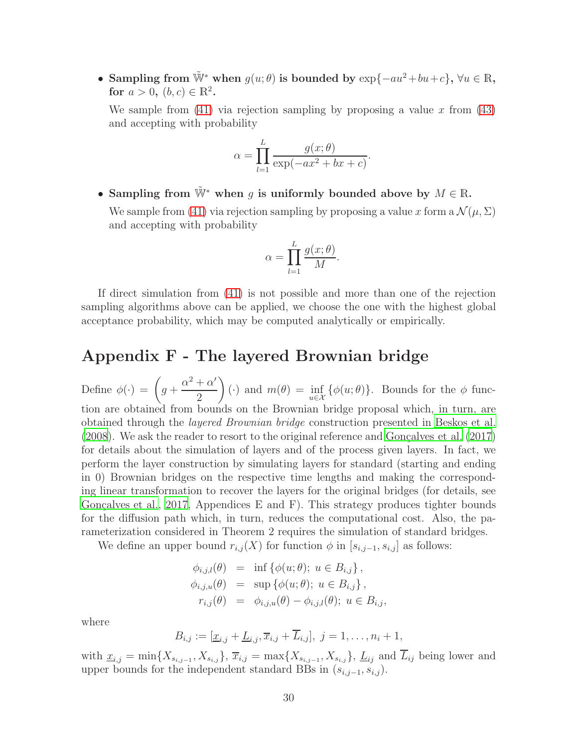• Sampling from  $\tilde{\mathbb{W}}^*$  when  $g(u; \theta)$  is bounded by  $\exp\{-au^2 + bu + c\}$ ,  $\forall u \in \mathbb{R}$ , for  $a > 0, (b, c) \in \mathbb{R}^2$ .

We sample from  $(41)$  via rejection sampling by proposing a value x from  $(43)$ and accepting with probability

$$
\alpha = \prod_{l=1}^{L} \frac{g(x;\theta)}{\exp(-ax^2 + bx + c)}.
$$

• Sampling from  $\tilde{W}^*$  when q is uniformly bounded above by  $M \in \mathbb{R}$ .

We sample from [\(41\)](#page-27-0) via rejection sampling by proposing a value x form a  $\mathcal{N}(\mu, \Sigma)$ and accepting with probability

$$
\alpha = \prod_{l=1}^{L} \frac{g(x; \theta)}{M}
$$

.

If direct simulation from [\(41\)](#page-27-0) is not possible and more than one of the rejection sampling algorithms above can be applied, we choose the one with the highest global acceptance probability, which may be computed analytically or empirically.

# Appendix F - The layered Brownian bridge

Define  $\phi(\cdot) = \left(g + \frac{1}{\sqrt{2}}\right)$  $\alpha^2 + \alpha'$ 2  $\setminus$ (·) and  $m(\theta) = \inf_{u \in \mathcal{X}} {\{\phi(u; \theta)\}}$ . Bounds for the  $\phi$  function are obtained from bounds on the Brownian bridge proposal which, in turn, are obtained through the layered Brownian bridge construction presented in [Beskos et al.](#page-17-1)  $(2008)$  $(2008)$ . We ask the reader to resort to the original reference and Gonçalves et al.  $(2017)$ for details about the simulation of layers and of the process given layers. In fact, we perform the layer construction by simulating layers for standard (starting and ending in 0) Brownian bridges on the respective time lengths and making the corresponding linear transformation to recover the layers for the original bridges (for details, see Gonçalves et al., 2017, Appendices E and F). This strategy produces tighter bounds for the diffusion path which, in turn, reduces the computational cost. Also, the parameterization considered in Theorem 2 requires the simulation of standard bridges.

We define an upper bound  $r_{i,j}(X)$  for function  $\phi$  in  $[s_{i,j-1}, s_{i,j}]$  as follows:

$$
\begin{array}{rcl}\n\phi_{i,j,l}(\theta) & = & \inf \left\{ \phi(u;\theta); \ u \in B_{i,j} \right\}, \\
\phi_{i,j,u}(\theta) & = & \sup \left\{ \phi(u;\theta); \ u \in B_{i,j} \right\}, \\
r_{i,j}(\theta) & = & \phi_{i,j,u}(\theta) - \phi_{i,j,l}(\theta); \ u \in B_{i,j},\n\end{array}
$$

where

$$
B_{i,j} := [\underline{x}_{i,j} + \underline{L}_{i,j}, \overline{x}_{i,j} + \overline{L}_{i,j}], \ j = 1, \ldots, n_i + 1,
$$

with  $\underline{x}_{i,j} = \min\{X_{s_{i,j-1}}, X_{s_{i,j}}\}, \overline{x}_{i,j} = \max\{X_{s_{i,j-1}}, X_{s_{i,j}}\}, \underline{L}_{ij}$  and  $L_{ij}$  being lower and upper bounds for the independent standard BBs in  $(s_{i,j-1}, s_{i,j})$ .